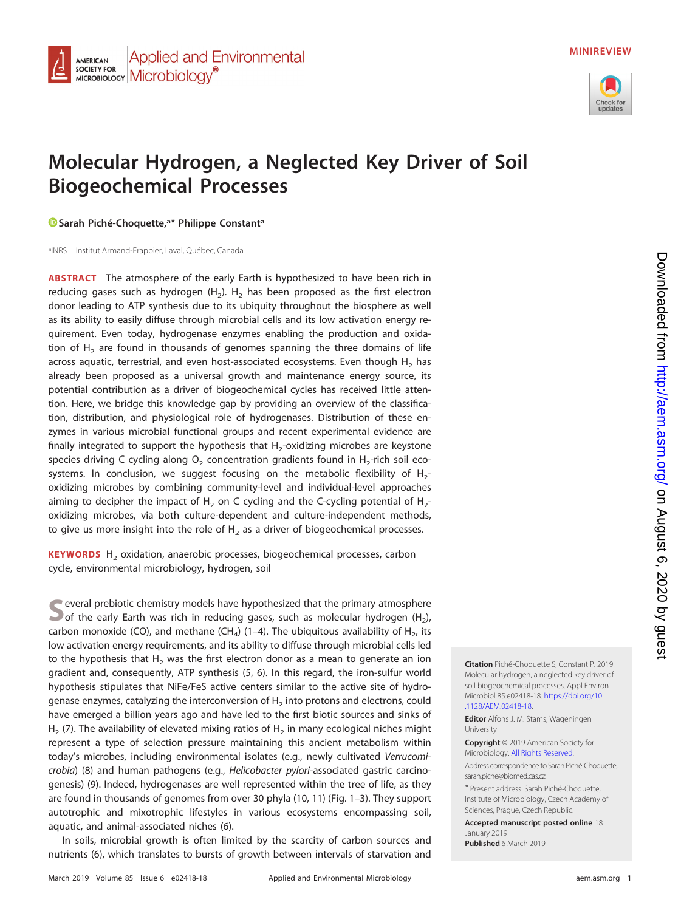

#### **Applied and Environmental AMERICAN SOCIETY FOR SOCIETY FOR** MICrobiology<sup>®</sup>

# **Molecular Hydrogen, a Neglected Key Driver of Soil Biogeochemical Processes**

**[Sarah Piché-Choquette,](https://orcid.org/0000-0002-7447-1177)a\* Philippe Constanta**

a INRS—Institut Armand-Frappier, Laval, Québec, Canada

**ABSTRACT** The atmosphere of the early Earth is hypothesized to have been rich in reducing gases such as hydrogen  $(H_2)$ .  $H_2$  has been proposed as the first electron donor leading to ATP synthesis due to its ubiquity throughout the biosphere as well as its ability to easily diffuse through microbial cells and its low activation energy requirement. Even today, hydrogenase enzymes enabling the production and oxidation of  $H_2$  are found in thousands of genomes spanning the three domains of life across aquatic, terrestrial, and even host-associated ecosystems. Even though  $H_2$  has already been proposed as a universal growth and maintenance energy source, its potential contribution as a driver of biogeochemical cycles has received little attention. Here, we bridge this knowledge gap by providing an overview of the classification, distribution, and physiological role of hydrogenases. Distribution of these enzymes in various microbial functional groups and recent experimental evidence are finally integrated to support the hypothesis that  $H_2$ -oxidizing microbes are keystone species driving C cycling along  $O<sub>2</sub>$  concentration gradients found in H<sub>2</sub>-rich soil ecosystems. In conclusion, we suggest focusing on the metabolic flexibility of  $H_{2}$ oxidizing microbes by combining community-level and individual-level approaches aiming to decipher the impact of H<sub>2</sub> on C cycling and the C-cycling potential of H<sub>2</sub>oxidizing microbes, via both culture-dependent and culture-independent methods, to give us more insight into the role of  $H_2$  as a driver of biogeochemical processes.

**KEYWORDS** H<sub>2</sub> oxidation, anaerobic processes, biogeochemical processes, carbon cycle, environmental microbiology, hydrogen, soil

Several prebiotic chemistry models have hypothesized that the primary atmosphere<br>of the early Earth was rich in reducing gases, such as molecular hydrogen (H<sub>2</sub>), carbon monoxide (CO), and methane (CH<sub>4</sub>) [\(1](#page-13-0)[–](#page-13-1)[4\)](#page-13-2). The ubiquitous availability of H<sub>2</sub>, its low activation energy requirements, and its ability to diffuse through microbial cells led to the hypothesis that  $H_2$  was the first electron donor as a mean to generate an ion gradient and, consequently, ATP synthesis [\(5,](#page-13-3) [6\)](#page-13-4). In this regard, the iron-sulfur world hypothesis stipulates that NiFe/FeS active centers similar to the active site of hydrogenase enzymes, catalyzing the interconversion of  $H<sub>2</sub>$  into protons and electrons, could have emerged a billion years ago and have led to the first biotic sources and sinks of H<sub>2</sub> [\(7\)](#page-13-5). The availability of elevated mixing ratios of H<sub>2</sub> in many ecological niches might represent a type of selection pressure maintaining this ancient metabolism within today's microbes, including environmental isolates (e.g., newly cultivated Verrucomicrobia) [\(8\)](#page-13-6) and human pathogens (e.g., Helicobacter pylori-associated gastric carcinogenesis) [\(9\)](#page-13-7). Indeed, hydrogenases are well represented within the tree of life, as they are found in thousands of genomes from over 30 phyla [\(10,](#page-13-8) [11\)](#page-13-9) [\(Fig. 1](#page-1-0)[–](#page-2-0)[3\)](#page-3-0). They support autotrophic and mixotrophic lifestyles in various ecosystems encompassing soil, aquatic, and animal-associated niches [\(6\)](#page-13-4).

In soils, microbial growth is often limited by the scarcity of carbon sources and nutrients [\(6\)](#page-13-4), which translates to bursts of growth between intervals of starvation and **Citation** Piché-Choquette S, Constant P. 2019. Molecular hydrogen, a neglected key driver of soil biogeochemical processes. Appl Environ Microbiol 85:e02418-18. [https://doi.org/10](https://doi.org/10.1128/AEM.02418-18) [.1128/AEM.02418-18.](https://doi.org/10.1128/AEM.02418-18)

**Editor** Alfons J. M. Stams, Wageningen University

**Copyright** © 2019 American Society for Microbiology. [All Rights Reserved.](https://doi.org/10.1128/ASMCopyrightv2)

Address correspondence to Sarah Piché-Choquette, [sarah.piche@biomed.cas.cz.](mailto:sarah.piche@biomed.cas.cz)

\* Present address: Sarah Piché-Choquette, Institute of Microbiology, Czech Academy of Sciences, Prague, Czech Republic.

**Accepted manuscript posted online** 18 January 2019 **Published** 6 March 2019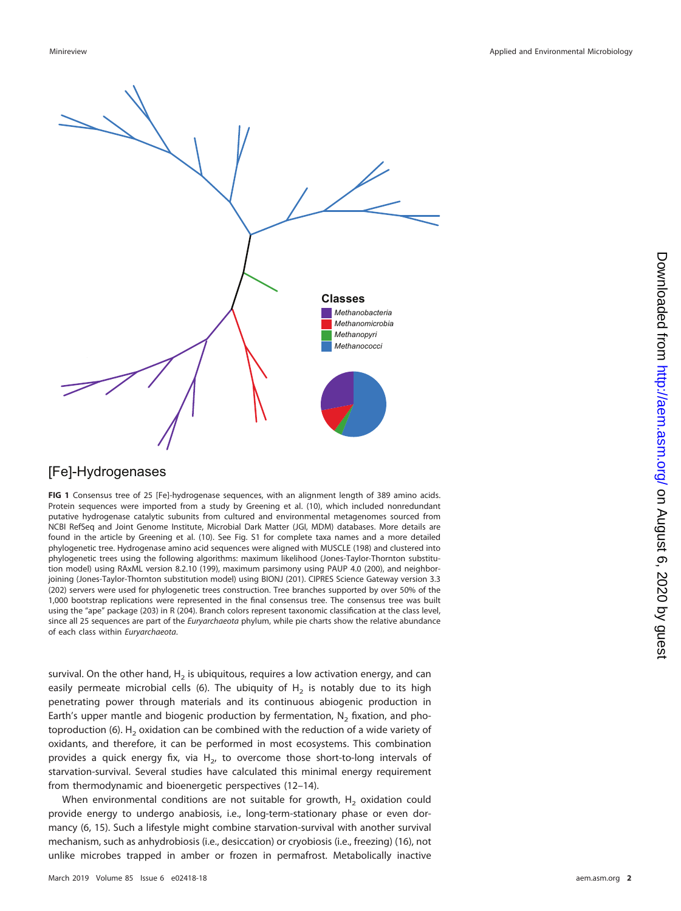

## [Fe]-Hydrogenases

<span id="page-1-0"></span>**FIG 1** Consensus tree of 25 [Fe]-hydrogenase sequences, with an alignment length of 389 amino acids. Protein sequences were imported from a study by Greening et al. [\(10\)](#page-13-8), which included nonredundant putative hydrogenase catalytic subunits from cultured and environmental metagenomes sourced from NCBI RefSeq and Joint Genome Institute, Microbial Dark Matter (JGI, MDM) databases. More details are found in the article by Greening et al. [\(10\)](#page-13-8). See Fig. S1 for complete taxa names and a more detailed phylogenetic tree. Hydrogenase amino acid sequences were aligned with MUSCLE [\(198\)](#page-18-0) and clustered into phylogenetic trees using the following algorithms: maximum likelihood (Jones-Taylor-Thornton substitution model) using RAxML version 8.2.10 [\(199\)](#page-18-1), maximum parsimony using PAUP 4.0 [\(200\)](#page-18-2), and neighborjoining (Jones-Taylor-Thornton substitution model) using BIONJ [\(201\)](#page-18-3). CIPRES Science Gateway version 3.3 [\(202\)](#page-18-4) servers were used for phylogenetic trees construction. Tree branches supported by over 50% of the 1,000 bootstrap replications were represented in the final consensus tree. The consensus tree was built using the "ape" package [\(203\)](#page-18-5) in R [\(204\)](#page-18-6). Branch colors represent taxonomic classification at the class level, since all 25 sequences are part of the Euryarchaeota phylum, while pie charts show the relative abundance of each class within Euryarchaeota.

survival. On the other hand,  $H_2$  is ubiquitous, requires a low activation energy, and can easily permeate microbial cells [\(6\)](#page-13-4). The ubiquity of  $H<sub>2</sub>$  is notably due to its high penetrating power through materials and its continuous abiogenic production in Earth's upper mantle and biogenic production by fermentation,  $N<sub>2</sub>$  fixation, and pho-toproduction [\(6\)](#page-13-4).  $H_2$  oxidation can be combined with the reduction of a wide variety of oxidants, and therefore, it can be performed in most ecosystems. This combination provides a quick energy fix, via  $H_{2}$ , to overcome those short-to-long intervals of starvation-survival. Several studies have calculated this minimal energy requirement from thermodynamic and bioenergetic perspectives [\(12](#page-13-10)[–](#page-13-11)[14\)](#page-13-12).

When environmental conditions are not suitable for growth,  $H_2$  oxidation could provide energy to undergo anabiosis, i.e., long-term-stationary phase or even dormancy [\(6,](#page-13-4) [15\)](#page-13-13). Such a lifestyle might combine starvation-survival with another survival mechanism, such as anhydrobiosis (i.e., desiccation) or cryobiosis (i.e., freezing) [\(16\)](#page-13-14), not unlike microbes trapped in amber or frozen in permafrost. Metabolically inactive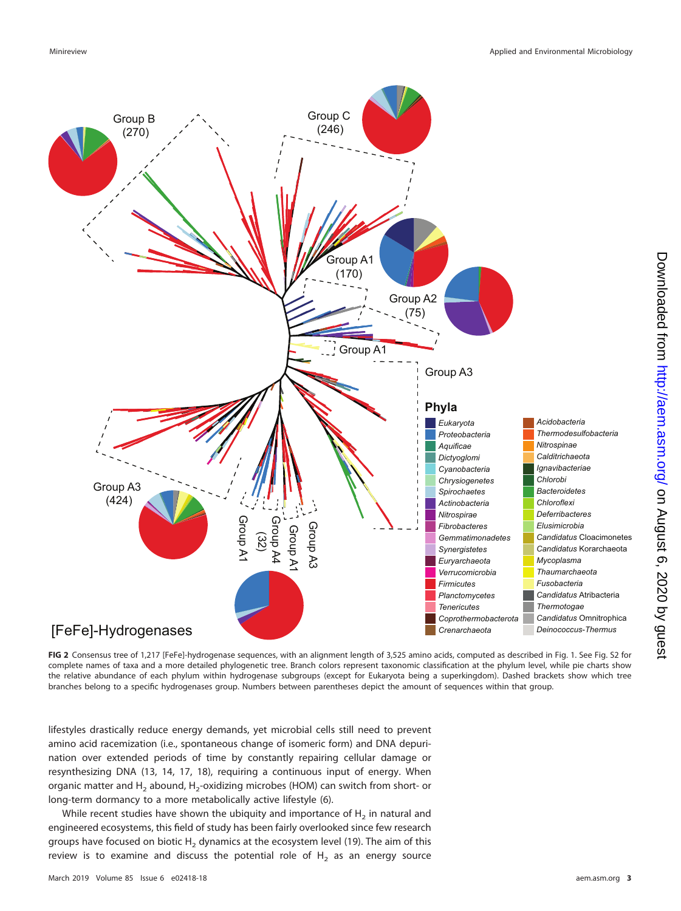

<span id="page-2-0"></span>**FIG 2** Consensus tree of 1,217 [FeFe]-hydrogenase sequences, with an alignment length of 3,525 amino acids, computed as described in [Fig. 1.](#page-1-0) See Fig. S2 for complete names of taxa and a more detailed phylogenetic tree. Branch colors represent taxonomic classification at the phylum level, while pie charts show the relative abundance of each phylum within hydrogenase subgroups (except for Eukaryota being a superkingdom). Dashed brackets show which tree branches belong to a specific hydrogenases group. Numbers between parentheses depict the amount of sequences within that group.

lifestyles drastically reduce energy demands, yet microbial cells still need to prevent amino acid racemization (i.e., spontaneous change of isomeric form) and DNA depurination over extended periods of time by constantly repairing cellular damage or resynthesizing DNA [\(13,](#page-13-11) [14,](#page-13-12) [17,](#page-13-15) [18\)](#page-13-16), requiring a continuous input of energy. When organic matter and  $H_2$  abound,  $H_2$ -oxidizing microbes (HOM) can switch from short- or long-term dormancy to a more metabolically active lifestyle [\(6\)](#page-13-4).

While recent studies have shown the ubiquity and importance of  $H<sub>2</sub>$  in natural and engineered ecosystems, this field of study has been fairly overlooked since few research groups have focused on biotic  $H_2$  dynamics at the ecosystem level [\(19\)](#page-13-17). The aim of this review is to examine and discuss the potential role of  $H<sub>2</sub>$  as an energy source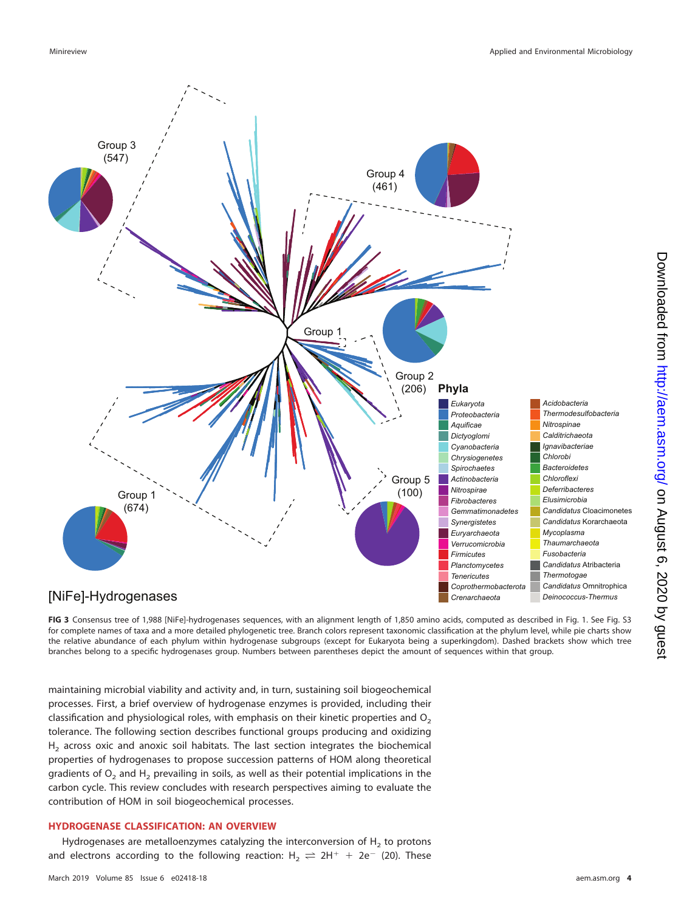

<span id="page-3-0"></span>FIG 3 Consensus tree of 1,988 [NiFe]-hydrogenases sequences, with an alignment length of 1,850 amino acids, computed as described in [Fig. 1.](#page-1-0) See Fig. S3 for complete names of taxa and a more detailed phylogenetic tree. Branch colors represent taxonomic classification at the phylum level, while pie charts show the relative abundance of each phylum within hydrogenase subgroups (except for Eukaryota being a superkingdom). Dashed brackets show which tree branches belong to a specific hydrogenases group. Numbers between parentheses depict the amount of sequences within that group.

maintaining microbial viability and activity and, in turn, sustaining soil biogeochemical processes. First, a brief overview of hydrogenase enzymes is provided, including their classification and physiological roles, with emphasis on their kinetic properties and  $O<sub>2</sub>$ tolerance. The following section describes functional groups producing and oxidizing H<sub>2</sub> across oxic and anoxic soil habitats. The last section integrates the biochemical properties of hydrogenases to propose succession patterns of HOM along theoretical gradients of  $O_2$  and  $H_2$  prevailing in soils, as well as their potential implications in the carbon cycle. This review concludes with research perspectives aiming to evaluate the contribution of HOM in soil biogeochemical processes.

#### **HYDROGENASE CLASSIFICATION: AN OVERVIEW**

Hydrogenases are metalloenzymes catalyzing the interconversion of  $H<sub>2</sub>$  to protons and electrons according to the following reaction:  $H_2 \rightleftharpoons 2H^+ + 2e^-$  [\(20\)](#page-13-18). These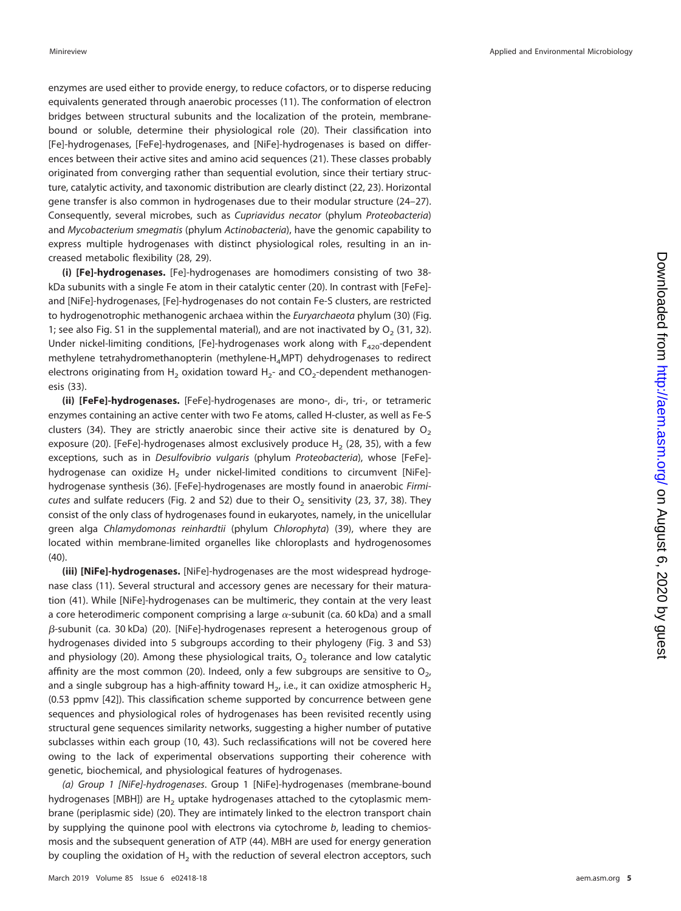enzymes are used either to provide energy, to reduce cofactors, or to disperse reducing equivalents generated through anaerobic processes [\(11\)](#page-13-9). The conformation of electron bridges between structural subunits and the localization of the protein, membranebound or soluble, determine their physiological role [\(20\)](#page-13-18). Their classification into [Fe]-hydrogenases, [FeFe]-hydrogenases, and [NiFe]-hydrogenases is based on differences between their active sites and amino acid sequences [\(21\)](#page-13-19). These classes probably originated from converging rather than sequential evolution, since their tertiary structure, catalytic activity, and taxonomic distribution are clearly distinct [\(22,](#page-13-20) [23\)](#page-13-21). Horizontal gene transfer is also common in hydrogenases due to their modular structure [\(24](#page-13-22)[–](#page-13-23)[27\)](#page-13-24). Consequently, several microbes, such as Cupriavidus necator (phylum Proteobacteria) and Mycobacterium smegmatis (phylum Actinobacteria), have the genomic capability to express multiple hydrogenases with distinct physiological roles, resulting in an increased metabolic flexibility [\(28,](#page-13-25) [29\)](#page-13-26).

**(i) [Fe]-hydrogenases.** [Fe]-hydrogenases are homodimers consisting of two 38 kDa subunits with a single Fe atom in their catalytic center [\(20\)](#page-13-18). In contrast with [FeFe] and [NiFe]-hydrogenases, [Fe]-hydrogenases do not contain Fe-S clusters, are restricted to hydrogenotrophic methanogenic archaea within the Euryarchaeota phylum [\(30\)](#page-13-27) [\(Fig.](#page-1-0) [1;](#page-1-0) see also Fig. S1 in the supplemental material), and are not inactivated by  $O<sub>2</sub>$  [\(31,](#page-13-28) [32\)](#page-13-29). Under nickel-limiting conditions, [Fe]-hydrogenases work along with  $F_{420}$ -dependent methylene tetrahydromethanopterin (methylene-H4MPT) dehydrogenases to redirect electrons originating from  $H_2$  oxidation toward  $H_2$ - and CO<sub>2</sub>-dependent methanogenesis [\(33\)](#page-13-30).

**(ii) [FeFe]-hydrogenases.** [FeFe]-hydrogenases are mono-, di-, tri-, or tetrameric enzymes containing an active center with two Fe atoms, called H-cluster, as well as Fe-S clusters [\(34\)](#page-13-31). They are strictly anaerobic since their active site is denatured by  $O<sub>2</sub>$ exposure [\(20\)](#page-13-18). [FeFe]-hydrogenases almost exclusively produce  $H_2$  [\(28,](#page-13-25) [35\)](#page-13-32), with a few exceptions, such as in Desulfovibrio vulgaris (phylum Proteobacteria), whose [FeFe] hydrogenase can oxidize  $H_2$  under nickel-limited conditions to circumvent [NiFe]hydrogenase synthesis [\(36\)](#page-13-33). [FeFe]-hydrogenases are mostly found in anaerobic Firmi-cutes and sulfate reducers [\(Fig. 2](#page-2-0) and S2) due to their  $O<sub>2</sub>$  sensitivity [\(23,](#page-13-21) [37,](#page-14-0) [38\)](#page-14-1). They consist of the only class of hydrogenases found in eukaryotes, namely, in the unicellular green alga Chlamydomonas reinhardtii (phylum Chlorophyta) [\(39\)](#page-14-2), where they are located within membrane-limited organelles like chloroplasts and hydrogenosomes [\(40\)](#page-14-3).

**(iii) [NiFe]-hydrogenases.** [NiFe]-hydrogenases are the most widespread hydrogenase class [\(11\)](#page-13-9). Several structural and accessory genes are necessary for their maturation [\(41\)](#page-14-4). While [NiFe]-hydrogenases can be multimeric, they contain at the very least a core heterodimeric component comprising a large  $\alpha$ -subunit (ca. 60 kDa) and a small  $\beta$ -subunit (ca. 30 kDa) [\(20\)](#page-13-18). [NiFe]-hydrogenases represent a heterogenous group of hydrogenases divided into 5 subgroups according to their phylogeny [\(Fig. 3](#page-3-0) and S3) and physiology [\(20\)](#page-13-18). Among these physiological traits,  $O<sub>2</sub>$  tolerance and low catalytic affinity are the most common [\(20\)](#page-13-18). Indeed, only a few subgroups are sensitive to  $O<sub>2</sub>$ , and a single subgroup has a high-affinity toward H<sub>2</sub>, i.e., it can oxidize atmospheric H<sub>2</sub> (0.53 ppmv [\[42\]](#page-14-5)). This classification scheme supported by concurrence between gene sequences and physiological roles of hydrogenases has been revisited recently using structural gene sequences similarity networks, suggesting a higher number of putative subclasses within each group [\(10,](#page-13-8) [43\)](#page-14-6). Such reclassifications will not be covered here owing to the lack of experimental observations supporting their coherence with genetic, biochemical, and physiological features of hydrogenases.

(a) Group 1 [NiFe]-hydrogenases. Group 1 [NiFe]-hydrogenases (membrane-bound hydrogenases [MBH]) are  $H_2$  uptake hydrogenases attached to the cytoplasmic membrane (periplasmic side) [\(20\)](#page-13-18). They are intimately linked to the electron transport chain by supplying the quinone pool with electrons via cytochrome b, leading to chemiosmosis and the subsequent generation of ATP [\(44\)](#page-14-7). MBH are used for energy generation by coupling the oxidation of  $H<sub>2</sub>$  with the reduction of several electron acceptors, such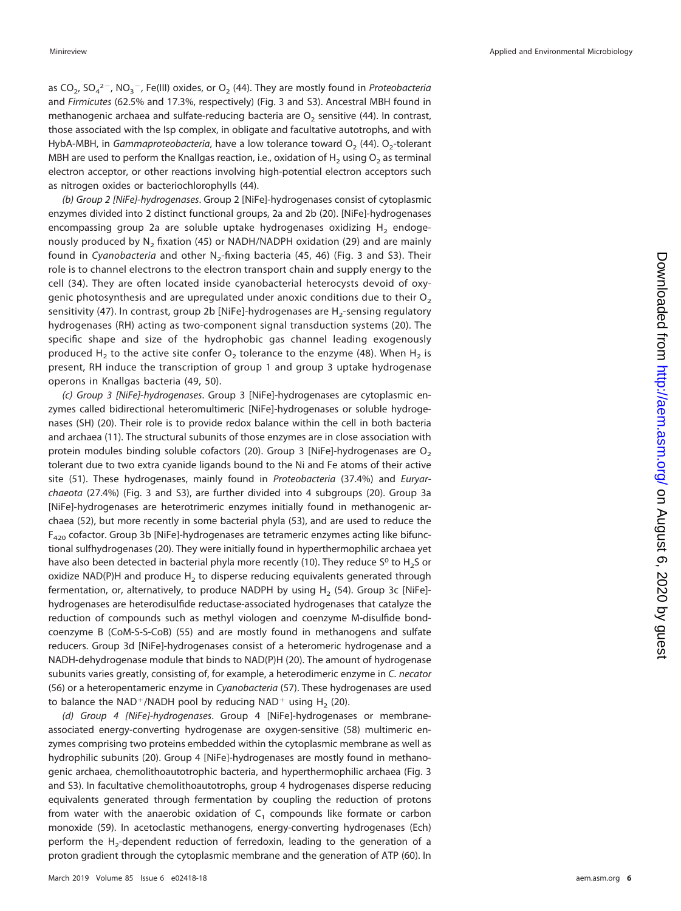as CO<sub>2</sub>, SO<sub>4</sub><sup>2–</sup>, NO<sub>3</sub><sup>–</sup>, Fe(III) oxides, or O<sub>2</sub> [\(44\)](#page-14-7). They are mostly found in Proteobacteria and Firmicutes (62.5% and 17.3%, respectively) [\(Fig. 3](#page-3-0) and S3). Ancestral MBH found in methanogenic archaea and sulfate-reducing bacteria are  $O<sub>2</sub>$  sensitive [\(44\)](#page-14-7). In contrast, those associated with the Isp complex, in obligate and facultative autotrophs, and with HybA-MBH, in Gammaproteobacteria, have a low tolerance toward  $O<sub>2</sub>$  [\(44\)](#page-14-7). O<sub>2</sub>-tolerant MBH are used to perform the Knallgas reaction, i.e., oxidation of H<sub>2</sub> using O<sub>2</sub> as terminal electron acceptor, or other reactions involving high-potential electron acceptors such as nitrogen oxides or bacteriochlorophylls [\(44\)](#page-14-7).

(b) Group 2 [NiFe]-hydrogenases. Group 2 [NiFe]-hydrogenases consist of cytoplasmic enzymes divided into 2 distinct functional groups, 2a and 2b [\(20\)](#page-13-18). [NiFe]-hydrogenases encompassing group 2a are soluble uptake hydrogenases oxidizing  $H_2$  endogenously produced by  $N_2$  fixation [\(45\)](#page-14-8) or NADH/NADPH oxidation [\(29\)](#page-13-26) and are mainly found in Cyanobacteria and other  $N_2$ -fixing bacteria [\(45,](#page-14-8) [46\)](#page-14-9) [\(Fig. 3](#page-3-0) and S3). Their role is to channel electrons to the electron transport chain and supply energy to the cell [\(34\)](#page-13-31). They are often located inside cyanobacterial heterocysts devoid of oxygenic photosynthesis and are upregulated under anoxic conditions due to their  $O<sub>2</sub>$ sensitivity [\(47\)](#page-14-10). In contrast, group 2b [NiFe]-hydrogenases are  $H_2$ -sensing regulatory hydrogenases (RH) acting as two-component signal transduction systems [\(20\)](#page-13-18). The specific shape and size of the hydrophobic gas channel leading exogenously produced H<sub>2</sub> to the active site confer O<sub>2</sub> tolerance to the enzyme [\(48\)](#page-14-11). When H<sub>2</sub> is present, RH induce the transcription of group 1 and group 3 uptake hydrogenase operons in Knallgas bacteria [\(49,](#page-14-12) [50\)](#page-14-13).

(c) Group 3 [NiFe]-hydrogenases. Group 3 [NiFe]-hydrogenases are cytoplasmic enzymes called bidirectional heteromultimeric [NiFe]-hydrogenases or soluble hydrogenases (SH) [\(20\)](#page-13-18). Their role is to provide redox balance within the cell in both bacteria and archaea [\(11\)](#page-13-9). The structural subunits of those enzymes are in close association with protein modules binding soluble cofactors [\(20\)](#page-13-18). Group 3 [NiFe]-hydrogenases are  $O<sub>2</sub>$ tolerant due to two extra cyanide ligands bound to the Ni and Fe atoms of their active site [\(51\)](#page-14-14). These hydrogenases, mainly found in Proteobacteria (37.4%) and Euryarchaeota (27.4%) [\(Fig. 3](#page-3-0) and S3), are further divided into 4 subgroups [\(20\)](#page-13-18). Group 3a [NiFe]-hydrogenases are heterotrimeric enzymes initially found in methanogenic archaea [\(52\)](#page-14-15), but more recently in some bacterial phyla [\(53\)](#page-14-16), and are used to reduce the  $F_{420}$  cofactor. Group 3b [NiFe]-hydrogenases are tetrameric enzymes acting like bifunctional sulfhydrogenases [\(20\)](#page-13-18). They were initially found in hyperthermophilic archaea yet have also been detected in bacterial phyla more recently [\(10\)](#page-13-8). They reduce  $S^{\text{o}}$  to H<sub>2</sub>S or oxidize NAD(P)H and produce H<sub>2</sub> to disperse reducing equivalents generated through fermentation, or, alternatively, to produce NADPH by using H<sub>2</sub> [\(54\)](#page-14-17). Group 3c [NiFe]hydrogenases are heterodisulfide reductase-associated hydrogenases that catalyze the reduction of compounds such as methyl viologen and coenzyme M-disulfide bondcoenzyme B (CoM-S-S-CoB) [\(55\)](#page-14-18) and are mostly found in methanogens and sulfate reducers. Group 3d [NiFe]-hydrogenases consist of a heteromeric hydrogenase and a NADH-dehydrogenase module that binds to NAD(P)H [\(20\)](#page-13-18). The amount of hydrogenase subunits varies greatly, consisting of, for example, a heterodimeric enzyme in C. necator [\(56\)](#page-14-19) or a heteropentameric enzyme in Cyanobacteria [\(57\)](#page-14-20). These hydrogenases are used to balance the NAD<sup>+</sup>/NADH pool by reducing NAD<sup>+</sup> using H<sub>2</sub> [\(20\)](#page-13-18).

(d) Group 4 [NiFe]-hydrogenases. Group 4 [NiFe]-hydrogenases or membraneassociated energy-converting hydrogenase are oxygen-sensitive [\(58\)](#page-14-21) multimeric enzymes comprising two proteins embedded within the cytoplasmic membrane as well as hydrophilic subunits [\(20\)](#page-13-18). Group 4 [NiFe]-hydrogenases are mostly found in methanogenic archaea, chemolithoautotrophic bacteria, and hyperthermophilic archaea [\(Fig. 3](#page-3-0) and S3). In facultative chemolithoautotrophs, group 4 hydrogenases disperse reducing equivalents generated through fermentation by coupling the reduction of protons from water with the anaerobic oxidation of  $C_1$  compounds like formate or carbon monoxide [\(59\)](#page-14-22). In acetoclastic methanogens, energy-converting hydrogenases (Ech) perform the  $H_2$ -dependent reduction of ferredoxin, leading to the generation of a proton gradient through the cytoplasmic membrane and the generation of ATP [\(60\)](#page-14-23). In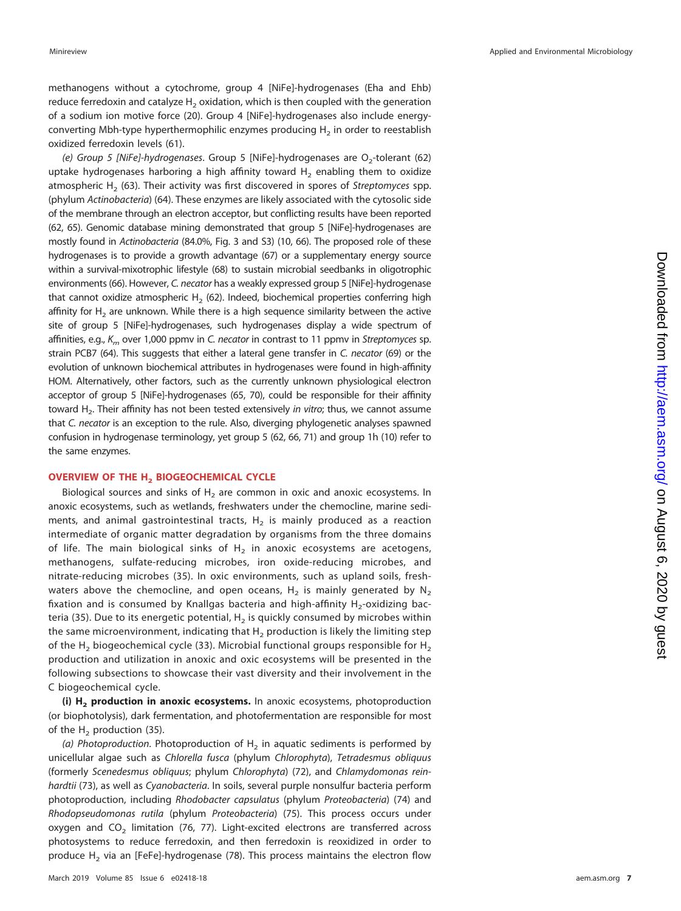methanogens without a cytochrome, group 4 [NiFe]-hydrogenases (Eha and Ehb) reduce ferredoxin and catalyze  $H_2$  oxidation, which is then coupled with the generation of a sodium ion motive force [\(20\)](#page-13-18). Group 4 [NiFe]-hydrogenases also include energyconverting Mbh-type hyperthermophilic enzymes producing  $H<sub>2</sub>$  in order to reestablish oxidized ferredoxin levels [\(61\)](#page-14-24).

(e) Group 5 [NiFe]-hydrogenases. Group 5 [NiFe]-hydrogenases are  $O<sub>2</sub>$ -tolerant [\(62\)](#page-14-25) uptake hydrogenases harboring a high affinity toward  $H<sub>2</sub>$  enabling them to oxidize atmospheric H<sub>2</sub> [\(63\)](#page-14-26). Their activity was first discovered in spores of Streptomyces spp. (phylum Actinobacteria) [\(64\)](#page-14-27). These enzymes are likely associated with the cytosolic side of the membrane through an electron acceptor, but conflicting results have been reported [\(62,](#page-14-25) [65\)](#page-14-28). Genomic database mining demonstrated that group 5 [NiFe]-hydrogenases are mostly found in Actinobacteria (84.0%, [Fig. 3](#page-3-0) and S3) [\(10,](#page-13-8) [66\)](#page-14-29). The proposed role of these hydrogenases is to provide a growth advantage [\(67\)](#page-14-30) or a supplementary energy source within a survival-mixotrophic lifestyle [\(68\)](#page-14-31) to sustain microbial seedbanks in oligotrophic environments [\(66\)](#page-14-29). However, C. necator has a weakly expressed group 5 [NiFe]-hydrogenase that cannot oxidize atmospheric H<sub>2</sub> [\(62\)](#page-14-25). Indeed, biochemical properties conferring high affinity for  $H<sub>2</sub>$  are unknown. While there is a high sequence similarity between the active site of group 5 [NiFe]-hydrogenases, such hydrogenases display a wide spectrum of affinities, e.g.,  $K<sub>m</sub>$  over 1,000 ppmv in C. necator in contrast to 11 ppmv in Streptomyces sp. strain PCB7 [\(64\)](#page-14-27). This suggests that either a lateral gene transfer in C. necator [\(69\)](#page-14-32) or the evolution of unknown biochemical attributes in hydrogenases were found in high-affinity HOM. Alternatively, other factors, such as the currently unknown physiological electron acceptor of group 5 [NiFe]-hydrogenases [\(65,](#page-14-28) [70\)](#page-14-33), could be responsible for their affinity toward  $H<sub>2</sub>$ . Their affinity has not been tested extensively in vitro; thus, we cannot assume that C. necator is an exception to the rule. Also, diverging phylogenetic analyses spawned confusion in hydrogenase terminology, yet group 5 [\(62,](#page-14-25) [66,](#page-14-29) [71\)](#page-14-34) and group 1h [\(10\)](#page-13-8) refer to the same enzymes.

#### **OVERVIEW OF THE H2 BIOGEOCHEMICAL CYCLE**

Biological sources and sinks of  $H_2$  are common in oxic and anoxic ecosystems. In anoxic ecosystems, such as wetlands, freshwaters under the chemocline, marine sediments, and animal gastrointestinal tracts,  $H_2$  is mainly produced as a reaction intermediate of organic matter degradation by organisms from the three domains of life. The main biological sinks of  $H_2$  in anoxic ecosystems are acetogens, methanogens, sulfate-reducing microbes, iron oxide-reducing microbes, and nitrate-reducing microbes [\(35\)](#page-13-32). In oxic environments, such as upland soils, freshwaters above the chemocline, and open oceans, H<sub>2</sub> is mainly generated by N<sub>2</sub> fixation and is consumed by Knallgas bacteria and high-affinity  $H<sub>2</sub>$ -oxidizing bac-teria [\(35\)](#page-13-32). Due to its energetic potential,  $H_2$  is quickly consumed by microbes within the same microenvironment, indicating that  $H_2$  production is likely the limiting step of the H<sub>2</sub> biogeochemical cycle [\(33\)](#page-13-30). Microbial functional groups responsible for H<sub>2</sub> production and utilization in anoxic and oxic ecosystems will be presented in the following subsections to showcase their vast diversity and their involvement in the C biogeochemical cycle.

**(i) H<sub>2</sub> production in anoxic ecosystems.** In anoxic ecosystems, photoproduction (or biophotolysis), dark fermentation, and photofermentation are responsible for most of the  $H_2$  production [\(35\)](#page-13-32).

(a) Photoproduction. Photoproduction of  $H<sub>2</sub>$  in aquatic sediments is performed by unicellular algae such as Chlorella fusca (phylum Chlorophyta), Tetradesmus obliquus (formerly Scenedesmus obliquus; phylum Chlorophyta) [\(72\)](#page-14-35), and Chlamydomonas reinhardtii [\(73\)](#page-14-36), as well as Cyanobacteria. In soils, several purple nonsulfur bacteria perform photoproduction, including Rhodobacter capsulatus (phylum Proteobacteria) [\(74\)](#page-14-37) and Rhodopseudomonas rutila (phylum Proteobacteria) [\(75\)](#page-14-38). This process occurs under oxygen and  $CO<sub>2</sub>$  limitation [\(76,](#page-15-0) [77\)](#page-15-1). Light-excited electrons are transferred across photosystems to reduce ferredoxin, and then ferredoxin is reoxidized in order to produce  $H_2$  via an [FeFe]-hydrogenase [\(78\)](#page-15-2). This process maintains the electron flow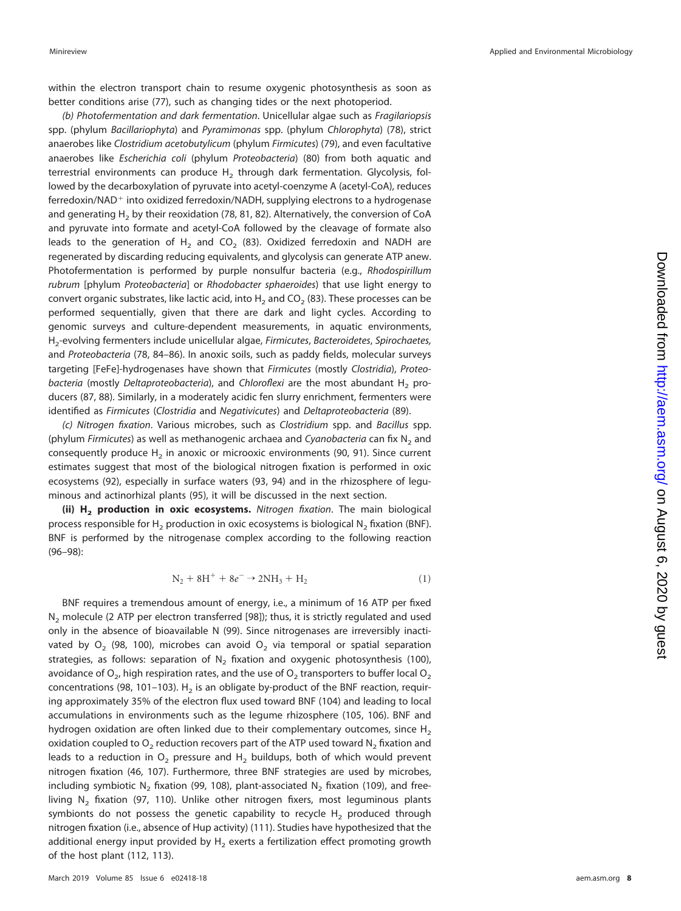within the electron transport chain to resume oxygenic photosynthesis as soon as better conditions arise [\(77\)](#page-15-1), such as changing tides or the next photoperiod.

(b) Photofermentation and dark fermentation. Unicellular algae such as Fragilariopsis spp. (phylum Bacillariophyta) and Pyramimonas spp. (phylum Chlorophyta) [\(78\)](#page-15-2), strict anaerobes like Clostridium acetobutylicum (phylum Firmicutes) [\(79\)](#page-15-3), and even facultative anaerobes like Escherichia coli (phylum Proteobacteria) [\(80\)](#page-15-4) from both aquatic and terrestrial environments can produce  $H<sub>2</sub>$  through dark fermentation. Glycolysis, followed by the decarboxylation of pyruvate into acetyl-coenzyme A (acetyl-CoA), reduces ferredoxin/NAD<sup>+</sup> into oxidized ferredoxin/NADH, supplying electrons to a hydrogenase and generating  $H_2$  by their reoxidation [\(78,](#page-15-2) [81,](#page-15-5) [82\)](#page-15-6). Alternatively, the conversion of CoA and pyruvate into formate and acetyl-CoA followed by the cleavage of formate also leads to the generation of H<sub>2</sub> and CO<sub>2</sub> [\(83\)](#page-15-7). Oxidized ferredoxin and NADH are regenerated by discarding reducing equivalents, and glycolysis can generate ATP anew. Photofermentation is performed by purple nonsulfur bacteria (e.g., Rhodospirillum rubrum [phylum Proteobacteria] or Rhodobacter sphaeroides) that use light energy to convert organic substrates, like lactic acid, into  $H_2$  and CO<sub>2</sub> [\(83\)](#page-15-7). These processes can be performed sequentially, given that there are dark and light cycles. According to genomic surveys and culture-dependent measurements, in aquatic environments, H<sub>2</sub>-evolving fermenters include unicellular algae, Firmicutes, Bacteroidetes, Spirochaetes, and Proteobacteria [\(78,](#page-15-2) [84](#page-15-8)[–](#page-15-9)[86\)](#page-15-10). In anoxic soils, such as paddy fields, molecular surveys targeting [FeFe]-hydrogenases have shown that Firmicutes (mostly Clostridia), Proteobacteria (mostly Deltaproteobacteria), and Chloroflexi are the most abundant  $H_2$  producers [\(87,](#page-15-11) [88\)](#page-15-12). Similarly, in a moderately acidic fen slurry enrichment, fermenters were identified as Firmicutes (Clostridia and Negativicutes) and Deltaproteobacteria [\(89\)](#page-15-13).

(c) Nitrogen fixation. Various microbes, such as Clostridium spp. and Bacillus spp. (phylum Firmicutes) as well as methanogenic archaea and Cyanobacteria can fix  $N<sub>2</sub>$  and consequently produce  $H_2$  in anoxic or microoxic environments [\(90,](#page-15-14) [91\)](#page-15-15). Since current estimates suggest that most of the biological nitrogen fixation is performed in oxic ecosystems [\(92\)](#page-15-16), especially in surface waters [\(93,](#page-15-17) [94\)](#page-15-18) and in the rhizosphere of leguminous and actinorhizal plants [\(95\)](#page-15-19), it will be discussed in the next section.

**(ii) H2 production in oxic ecosystems.** Nitrogen fixation. The main biological process responsible for H<sub>2</sub> production in oxic ecosystems is biological N<sub>2</sub> fixation (BNF). BNF is performed by the nitrogenase complex according to the following reaction [\(96](#page-15-20)[–](#page-15-21)[98\)](#page-15-22):

$$
N_2 + 8H^+ + 8e^- \to 2NH_3 + H_2
$$
 (1)

BNF requires a tremendous amount of energy, i.e., a minimum of 16 ATP per fixed  $N<sub>2</sub>$  molecule (2 ATP per electron transferred [\[98\]](#page-15-22)); thus, it is strictly regulated and used only in the absence of bioavailable N [\(99\)](#page-15-23). Since nitrogenases are irreversibly inactivated by  $O_2$  [\(98,](#page-15-22) [100\)](#page-15-24), microbes can avoid  $O_2$  via temporal or spatial separation strategies, as follows: separation of  $N_2$  fixation and oxygenic photosynthesis [\(100\)](#page-15-24), avoidance of  $O<sub>2</sub>$ , high respiration rates, and the use of  $O<sub>2</sub>$  transporters to buffer local  $O<sub>2</sub>$ concentrations [\(98,](#page-15-22) [101](#page-15-25)-[103\)](#page-15-27).  $H_2$  is an obligate by-product of the BNF reaction, requiring approximately 35% of the electron flux used toward BNF [\(104\)](#page-15-28) and leading to local accumulations in environments such as the legume rhizosphere [\(105,](#page-15-29) [106\)](#page-15-30). BNF and hydrogen oxidation are often linked due to their complementary outcomes, since  $H_2$ oxidation coupled to  $O_2$  reduction recovers part of the ATP used toward N<sub>2</sub> fixation and leads to a reduction in  $O_2$  pressure and H<sub>2</sub> buildups, both of which would prevent nitrogen fixation [\(46,](#page-14-9) [107\)](#page-15-31). Furthermore, three BNF strategies are used by microbes, including symbiotic N<sub>2</sub> fixation [\(99,](#page-15-23) [108\)](#page-15-32), plant-associated N<sub>2</sub> fixation [\(109\)](#page-15-33), and freeliving  $N_2$  fixation [\(97,](#page-15-21) [110\)](#page-15-34). Unlike other nitrogen fixers, most leguminous plants symbionts do not possess the genetic capability to recycle  $H<sub>2</sub>$  produced through nitrogen fixation (i.e., absence of Hup activity) [\(111\)](#page-15-35). Studies have hypothesized that the additional energy input provided by  $H_2$  exerts a fertilization effect promoting growth of the host plant [\(112,](#page-15-36) [113\)](#page-15-37).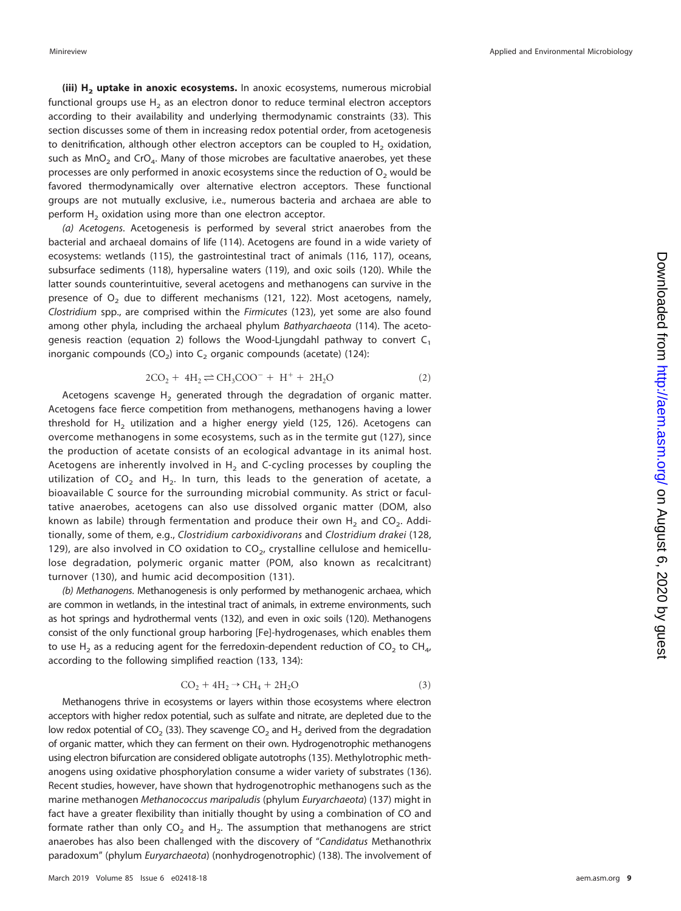(iii) H<sub>2</sub> uptake in anoxic ecosystems. In anoxic ecosystems, numerous microbial functional groups use  $H_2$  as an electron donor to reduce terminal electron acceptors according to their availability and underlying thermodynamic constraints [\(33\)](#page-13-30). This section discusses some of them in increasing redox potential order, from acetogenesis to denitrification, although other electron acceptors can be coupled to  $H<sub>2</sub>$  oxidation, such as  $MnO<sub>2</sub>$  and CrO<sub>4</sub>. Many of those microbes are facultative anaerobes, yet these processes are only performed in anoxic ecosystems since the reduction of  $O<sub>2</sub>$  would be favored thermodynamically over alternative electron acceptors. These functional groups are not mutually exclusive, i.e., numerous bacteria and archaea are able to perform  $H<sub>2</sub>$  oxidation using more than one electron acceptor.

(a) Acetogens. Acetogenesis is performed by several strict anaerobes from the bacterial and archaeal domains of life [\(114\)](#page-15-38). Acetogens are found in a wide variety of ecosystems: wetlands [\(115\)](#page-15-39), the gastrointestinal tract of animals [\(116,](#page-16-0) [117\)](#page-16-1), oceans, subsurface sediments [\(118\)](#page-16-2), hypersaline waters [\(119\)](#page-16-3), and oxic soils [\(120\)](#page-16-4). While the latter sounds counterintuitive, several acetogens and methanogens can survive in the presence of  $O<sub>2</sub>$  due to different mechanisms [\(121,](#page-16-5) [122\)](#page-16-6). Most acetogens, namely, Clostridium spp., are comprised within the Firmicutes [\(123\)](#page-16-7), yet some are also found among other phyla, including the archaeal phylum Bathyarchaeota [\(114\)](#page-15-38). The acetogenesis reaction (equation 2) follows the Wood-Ljungdahl pathway to convert  $C_1$ inorganic compounds (CO<sub>2</sub>) into C<sub>2</sub> organic compounds (acetate) [\(124\)](#page-16-8):

$$
2CO2 + 4H2 \rightleftharpoons CH3COO- + H+ + 2H2O
$$
 (2)

Acetogens scavenge  $H_2$  generated through the degradation of organic matter. Acetogens face fierce competition from methanogens, methanogens having a lower threshold for  $H_2$  utilization and a higher energy yield [\(125,](#page-16-9) [126\)](#page-16-10). Acetogens can overcome methanogens in some ecosystems, such as in the termite gut [\(127\)](#page-16-11), since the production of acetate consists of an ecological advantage in its animal host. Acetogens are inherently involved in  $H_2$  and C-cycling processes by coupling the utilization of  $CO<sub>2</sub>$  and H<sub>2</sub>. In turn, this leads to the generation of acetate, a bioavailable C source for the surrounding microbial community. As strict or facultative anaerobes, acetogens can also use dissolved organic matter (DOM, also known as labile) through fermentation and produce their own  $H_2$  and CO<sub>2</sub>. Additionally, some of them, e.g., Clostridium carboxidivorans and Clostridium drakei [\(128,](#page-16-12) [129\)](#page-16-13), are also involved in CO oxidation to  $CO<sub>2</sub>$ , crystalline cellulose and hemicellulose degradation, polymeric organic matter (POM, also known as recalcitrant) turnover [\(130\)](#page-16-14), and humic acid decomposition [\(131\)](#page-16-15).

(b) Methanogens. Methanogenesis is only performed by methanogenic archaea, which are common in wetlands, in the intestinal tract of animals, in extreme environments, such as hot springs and hydrothermal vents [\(132\)](#page-16-16), and even in oxic soils [\(120\)](#page-16-4). Methanogens consist of the only functional group harboring [Fe]-hydrogenases, which enables them to use H<sub>2</sub> as a reducing agent for the ferredoxin-dependent reduction of CO<sub>2</sub> to CH<sub>4</sub>, according to the following simplified reaction [\(133,](#page-16-17) [134\)](#page-16-18):

$$
CO2 + 4H2 \rightarrow CH4 + 2H2O
$$
 (3)

Methanogens thrive in ecosystems or layers within those ecosystems where electron acceptors with higher redox potential, such as sulfate and nitrate, are depleted due to the low redox potential of CO<sub>2</sub> [\(33\)](#page-13-30). They scavenge CO<sub>2</sub> and H<sub>2</sub> derived from the degradation of organic matter, which they can ferment on their own. Hydrogenotrophic methanogens using electron bifurcation are considered obligate autotrophs [\(135\)](#page-16-19). Methylotrophic methanogens using oxidative phosphorylation consume a wider variety of substrates [\(136\)](#page-16-20). Recent studies, however, have shown that hydrogenotrophic methanogens such as the marine methanogen Methanococcus maripaludis (phylum Euryarchaeota) [\(137\)](#page-16-21) might in fact have a greater flexibility than initially thought by using a combination of CO and formate rather than only  $CO<sub>2</sub>$  and H<sub>2</sub>. The assumption that methanogens are strict anaerobes has also been challenged with the discovery of "Candidatus Methanothrix paradoxum" (phylum Euryarchaeota) (nonhydrogenotrophic) [\(138\)](#page-16-22). The involvement of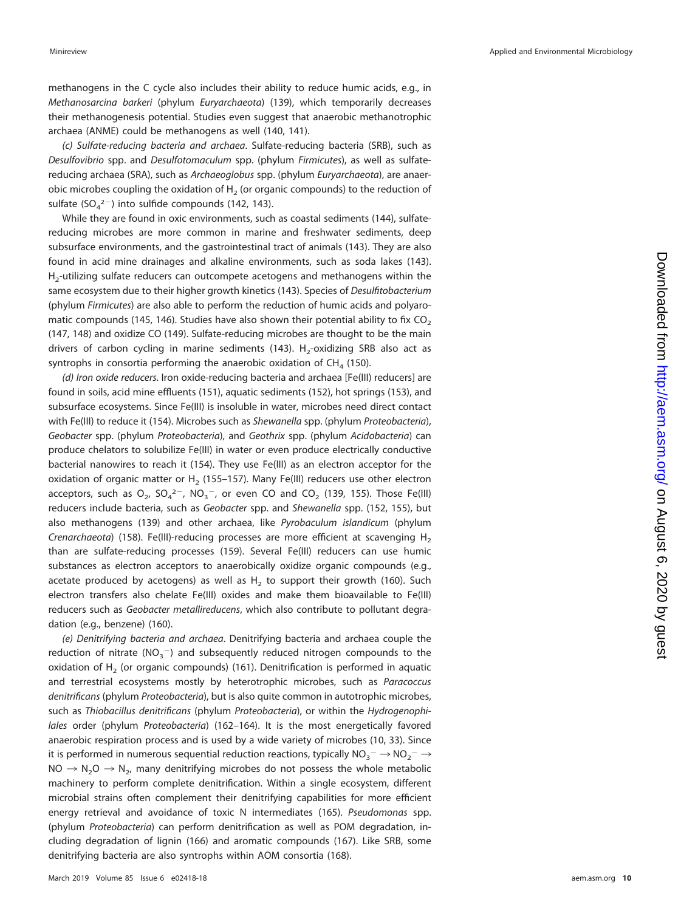methanogens in the C cycle also includes their ability to reduce humic acids, e.g., in Methanosarcina barkeri (phylum Euryarchaeota) [\(139\)](#page-16-23), which temporarily decreases their methanogenesis potential. Studies even suggest that anaerobic methanotrophic archaea (ANME) could be methanogens as well [\(140,](#page-16-24) [141\)](#page-16-25).

(c) Sulfate-reducing bacteria and archaea. Sulfate-reducing bacteria (SRB), such as Desulfovibrio spp. and Desulfotomaculum spp. (phylum Firmicutes), as well as sulfatereducing archaea (SRA), such as Archaeoglobus spp. (phylum Euryarchaeota), are anaerobic microbes coupling the oxidation of  $H_2$  (or organic compounds) to the reduction of sulfate  $(SO_4^2)$  into sulfide compounds [\(142,](#page-16-26) [143\)](#page-16-27).

While they are found in oxic environments, such as coastal sediments [\(144\)](#page-16-28), sulfatereducing microbes are more common in marine and freshwater sediments, deep subsurface environments, and the gastrointestinal tract of animals [\(143\)](#page-16-27). They are also found in acid mine drainages and alkaline environments, such as soda lakes [\(143\)](#page-16-27). H2-utilizing sulfate reducers can outcompete acetogens and methanogens within the same ecosystem due to their higher growth kinetics [\(143\)](#page-16-27). Species of Desulfitobacterium (phylum Firmicutes) are also able to perform the reduction of humic acids and polyaro-matic compounds [\(145,](#page-16-29) [146\)](#page-16-30). Studies have also shown their potential ability to fix  $CO<sub>2</sub>$ [\(147,](#page-16-31) [148\)](#page-16-32) and oxidize CO [\(149\)](#page-16-33). Sulfate-reducing microbes are thought to be the main drivers of carbon cycling in marine sediments [\(143\)](#page-16-27). H<sub>2</sub>-oxidizing SRB also act as syntrophs in consortia performing the anaerobic oxidation of  $CH<sub>4</sub>$  [\(150\)](#page-16-34).

(d) Iron oxide reducers. Iron oxide-reducing bacteria and archaea [Fe(III) reducers] are found in soils, acid mine effluents [\(151\)](#page-16-35), aquatic sediments [\(152\)](#page-16-36), hot springs [\(153\)](#page-16-37), and subsurface ecosystems. Since Fe(III) is insoluble in water, microbes need direct contact with Fe(III) to reduce it [\(154\)](#page-16-38). Microbes such as Shewanella spp. (phylum Proteobacteria), Geobacter spp. (phylum Proteobacteria), and Geothrix spp. (phylum Acidobacteria) can produce chelators to solubilize Fe(III) in water or even produce electrically conductive bacterial nanowires to reach it [\(154\)](#page-16-38). They use Fe(III) as an electron acceptor for the oxidation of organic matter or  $H_2$  [\(155](#page-16-39)[–](#page-16-40)[157\)](#page-17-0). Many Fe(III) reducers use other electron acceptors, such as  $O_{2'}$  SO $_4^{2-}$ , NO<sub>3</sub><sup>-</sup>, or even CO and CO<sub>2</sub> [\(139,](#page-16-23) [155\)](#page-16-39). Those Fe(III) reducers include bacteria, such as Geobacter spp. and Shewanella spp. [\(152,](#page-16-36) [155\)](#page-16-39), but also methanogens [\(139\)](#page-16-23) and other archaea, like Pyrobaculum islandicum (phylum Crenarchaeota) [\(158\)](#page-17-1). Fe(III)-reducing processes are more efficient at scavenging  $H_2$ than are sulfate-reducing processes [\(159\)](#page-17-2). Several Fe(III) reducers can use humic substances as electron acceptors to anaerobically oxidize organic compounds (e.g., acetate produced by acetogens) as well as  $H<sub>2</sub>$  to support their growth [\(160\)](#page-17-3). Such electron transfers also chelate Fe(III) oxides and make them bioavailable to Fe(III) reducers such as Geobacter metallireducens, which also contribute to pollutant degradation (e.g., benzene) [\(160\)](#page-17-3).

(e) Denitrifying bacteria and archaea. Denitrifying bacteria and archaea couple the reduction of nitrate  $(\text{NO}_3^-)$  and subsequently reduced nitrogen compounds to the oxidation of  $H<sub>2</sub>$  (or organic compounds) [\(161\)](#page-17-4). Denitrification is performed in aquatic and terrestrial ecosystems mostly by heterotrophic microbes, such as Paracoccus denitrificans (phylum Proteobacteria), but is also quite common in autotrophic microbes, such as Thiobacillus denitrificans (phylum Proteobacteria), or within the Hydrogenophilales order (phylum Proteobacteria) [\(162](#page-17-5)[–](#page-17-6)[164\)](#page-17-7). It is the most energetically favored anaerobic respiration process and is used by a wide variety of microbes [\(10,](#page-13-8) [33\)](#page-13-30). Since it is performed in numerous sequential reduction reactions, typically  $\text{NO}_3^-\rightarrow \text{NO}_2^-\rightarrow$  $NO \rightarrow N_2O \rightarrow N_2$ , many denitrifying microbes do not possess the whole metabolic machinery to perform complete denitrification. Within a single ecosystem, different microbial strains often complement their denitrifying capabilities for more efficient energy retrieval and avoidance of toxic N intermediates [\(165\)](#page-17-8). Pseudomonas spp. (phylum Proteobacteria) can perform denitrification as well as POM degradation, including degradation of lignin [\(166\)](#page-17-9) and aromatic compounds [\(167\)](#page-17-10). Like SRB, some denitrifying bacteria are also syntrophs within AOM consortia [\(168\)](#page-17-11).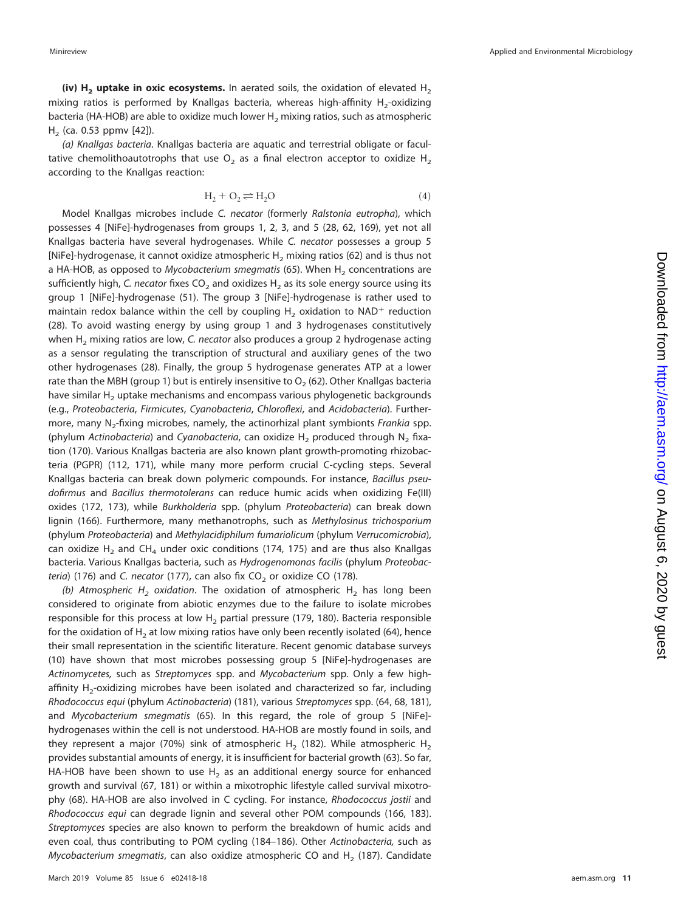(iv)  $H_2$  uptake in oxic ecosystems. In aerated soils, the oxidation of elevated H<sub>2</sub> mixing ratios is performed by Knallgas bacteria, whereas high-affinity  $H_2$ -oxidizing bacteria (HA-HOB) are able to oxidize much lower  $H_2$  mixing ratios, such as atmospheric  $H<sub>2</sub>$  (ca. 0.53 ppmv [\[42\]](#page-14-5)).

(a) Knallgas bacteria. Knallgas bacteria are aquatic and terrestrial obligate or facultative chemolithoautotrophs that use  $O<sub>2</sub>$  as a final electron acceptor to oxidize H<sub>2</sub> according to the Knallgas reaction:

$$
H_2 + O_2 \rightleftharpoons H_2O \tag{4}
$$

Model Knallgas microbes include C. necator (formerly Ralstonia eutropha), which possesses 4 [NiFe]-hydrogenases from groups 1, 2, 3, and 5 [\(28,](#page-13-25) [62,](#page-14-25) [169\)](#page-17-12), yet not all Knallgas bacteria have several hydrogenases. While C. necator possesses a group 5 [NiFe]-hydrogenase, it cannot oxidize atmospheric H<sub>2</sub> mixing ratios [\(62\)](#page-14-25) and is thus not a HA-HOB, as opposed to Mycobacterium smegmatis [\(65\)](#page-14-28). When  $H<sub>2</sub>$  concentrations are sufficiently high, C. necator fixes  $CO<sub>2</sub>$  and oxidizes H<sub>2</sub> as its sole energy source using its group 1 [NiFe]-hydrogenase [\(51\)](#page-14-14). The group 3 [NiFe]-hydrogenase is rather used to maintain redox balance within the cell by coupling  $H_2$  oxidation to NAD<sup>+</sup> reduction [\(28\)](#page-13-25). To avoid wasting energy by using group 1 and 3 hydrogenases constitutively when  $H<sub>2</sub>$  mixing ratios are low, C. necator also produces a group 2 hydrogenase acting as a sensor regulating the transcription of structural and auxiliary genes of the two other hydrogenases [\(28\)](#page-13-25). Finally, the group 5 hydrogenase generates ATP at a lower rate than the MBH (group 1) but is entirely insensitive to  $O<sub>2</sub>$  [\(62\)](#page-14-25). Other Knallgas bacteria have similar  $H<sub>2</sub>$  uptake mechanisms and encompass various phylogenetic backgrounds (e.g., Proteobacteria, Firmicutes, Cyanobacteria, Chloroflexi, and Acidobacteria). Furthermore, many  $N<sub>2</sub>$ -fixing microbes, namely, the actinorhizal plant symbionts Frankia spp. (phylum Actinobacteria) and Cyanobacteria, can oxidize H<sub>2</sub> produced through N<sub>2</sub> fixation [\(170\)](#page-17-13). Various Knallgas bacteria are also known plant growth-promoting rhizobacteria (PGPR) [\(112,](#page-15-36) [171\)](#page-17-14), while many more perform crucial C-cycling steps. Several Knallgas bacteria can break down polymeric compounds. For instance, Bacillus pseudofirmus and Bacillus thermotolerans can reduce humic acids when oxidizing Fe(III) oxides [\(172,](#page-17-15) [173\)](#page-17-16), while Burkholderia spp. (phylum Proteobacteria) can break down lignin [\(166\)](#page-17-9). Furthermore, many methanotrophs, such as Methylosinus trichosporium (phylum Proteobacteria) and Methylacidiphilum fumariolicum (phylum Verrucomicrobia), can oxidize H<sub>2</sub> and CH<sub>4</sub> under oxic conditions [\(174,](#page-17-17) [175\)](#page-17-18) and are thus also Knallgas bacteria. Various Knallgas bacteria, such as Hydrogenomonas facilis (phylum Proteobac-teria) [\(176\)](#page-17-19) and C. necator [\(177\)](#page-17-20), can also fix  $CO<sub>2</sub>$  or oxidize CO [\(178\)](#page-17-21).

(b) Atmospheric H<sub>2</sub> oxidation. The oxidation of atmospheric H<sub>2</sub> has long been considered to originate from abiotic enzymes due to the failure to isolate microbes responsible for this process at low  $H<sub>2</sub>$  partial pressure [\(179,](#page-17-22) [180\)](#page-17-23). Bacteria responsible for the oxidation of  $H_2$  at low mixing ratios have only been recently isolated [\(64\)](#page-14-27), hence their small representation in the scientific literature. Recent genomic database surveys [\(10\)](#page-13-8) have shown that most microbes possessing group 5 [NiFe]-hydrogenases are Actinomycetes, such as Streptomyces spp. and Mycobacterium spp. Only a few highaffinity  $H_2$ -oxidizing microbes have been isolated and characterized so far, including Rhodococcus equi (phylum Actinobacteria) [\(181\)](#page-17-24), various Streptomyces spp. [\(64,](#page-14-27) [68,](#page-14-31) [181\)](#page-17-24), and Mycobacterium smegmatis [\(65\)](#page-14-28). In this regard, the role of group 5 [NiFe] hydrogenases within the cell is not understood. HA-HOB are mostly found in soils, and they represent a major (70%) sink of atmospheric H<sub>2</sub> [\(182\)](#page-17-25). While atmospheric H<sub>2</sub> provides substantial amounts of energy, it is insufficient for bacterial growth [\(63\)](#page-14-26). So far, HA-HOB have been shown to use  $H_2$  as an additional energy source for enhanced growth and survival [\(67,](#page-14-30) [181\)](#page-17-24) or within a mixotrophic lifestyle called survival mixotrophy [\(68\)](#page-14-31). HA-HOB are also involved in C cycling. For instance, Rhodococcus jostii and Rhodococcus equi can degrade lignin and several other POM compounds [\(166,](#page-17-9) [183\)](#page-17-26). Streptomyces species are also known to perform the breakdown of humic acids and even coal, thus contributing to POM cycling [\(184](#page-17-27)[–](#page-17-28)[186\)](#page-17-29). Other Actinobacteria, such as Mycobacterium smegmatis, can also oxidize atmospheric CO and  $H<sub>2</sub>$  [\(187\)](#page-17-30). Candidate

Downloaded from http://aem.asm.org/ on August 6, 2020 by gues on August 6, 2020 by guest <http://aem.asm.org/> Downloaded from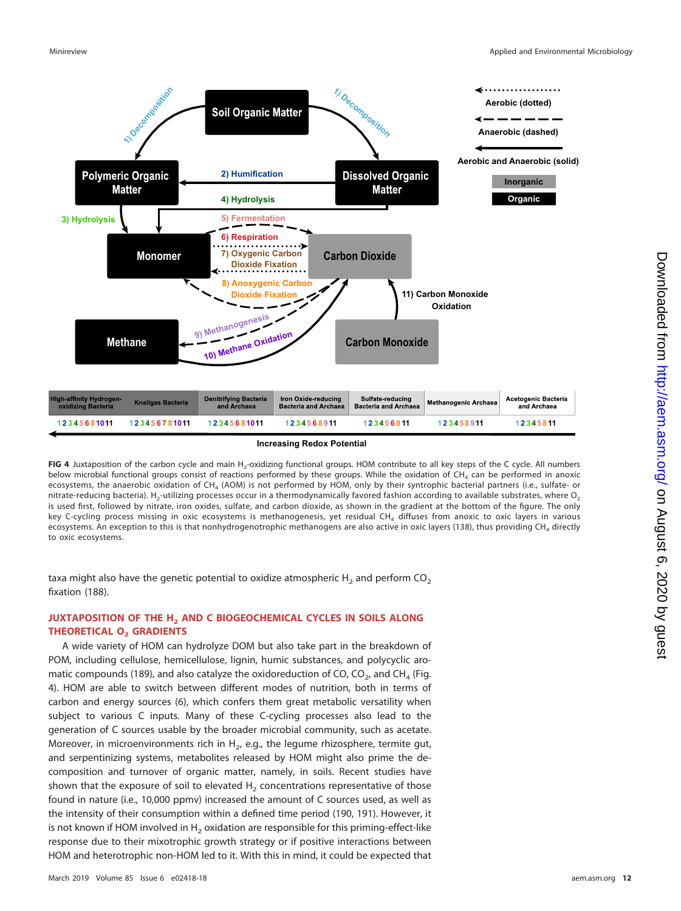

**Increasing Redox Potential**

<span id="page-11-0"></span>FIG 4 Juxtaposition of the carbon cycle and main H<sub>2</sub>-oxidizing functional groups. HOM contribute to all key steps of the C cycle. All numbers below microbial functional groups consist of reactions performed by these groups. While the oxidation of CH<sub>4</sub> can be performed in anoxic ecosystems, the anaerobic oxidation of CH<sub>4</sub> (AOM) is not performed by HOM, only by their syntrophic bacterial partners (i.e., sulfate- or nitrate-reducing bacteria). H<sub>2</sub>-utilizing processes occur in a thermodynamically favored fashion according to available substrates, where O<sub>2</sub> is used first, followed by nitrate, iron oxides, sulfate, and carbon dioxide, as shown in the gradient at the bottom of the figure. The only key C-cycling process missing in oxic ecosystems is methanogenesis, yet residual CH<sub>4</sub> diffuses from anoxic to oxic layers in various ecosystems. An exception to this is that nonhydrogenotrophic methanogens are also active in oxic layers [\(138\)](#page-16-22), thus providing CH<sub>4</sub> directly to oxic ecosystems.

taxa might also have the genetic potential to oxidize atmospheric H<sub>2</sub> and perform CO<sub>2</sub> fixation [\(188\)](#page-17-31).

### **JUXTAPOSITION OF THE H<sub>2</sub> AND C BIOGEOCHEMICAL CYCLES IN SOILS ALONG THEORETICAL O<sub>2</sub> GRADIENTS**

A wide variety of HOM can hydrolyze DOM but also take part in the breakdown of POM, including cellulose, hemicellulose, lignin, humic substances, and polycyclic aro-matic compounds [\(189\)](#page-17-32), and also catalyze the oxidoreduction of CO, CO<sub>2</sub>, and CH<sub>4</sub> [\(Fig.](#page-11-0) [4\)](#page-11-0). HOM are able to switch between different modes of nutrition, both in terms of carbon and energy sources [\(6\)](#page-13-4), which confers them great metabolic versatility when subject to various C inputs. Many of these C-cycling processes also lead to the generation of C sources usable by the broader microbial community, such as acetate. Moreover, in microenvironments rich in  $H<sub>2</sub>$ , e.g., the legume rhizosphere, termite gut, and serpentinizing systems, metabolites released by HOM might also prime the decomposition and turnover of organic matter, namely, in soils. Recent studies have shown that the exposure of soil to elevated  $H<sub>2</sub>$  concentrations representative of those found in nature (i.e., 10,000 ppmv) increased the amount of C sources used, as well as the intensity of their consumption within a defined time period [\(190,](#page-17-33) [191\)](#page-17-34). However, it is not known if HOM involved in  $H_2$  oxidation are responsible for this priming-effect-like response due to their mixotrophic growth strategy or if positive interactions between HOM and heterotrophic non-HOM led to it. With this in mind, it could be expected that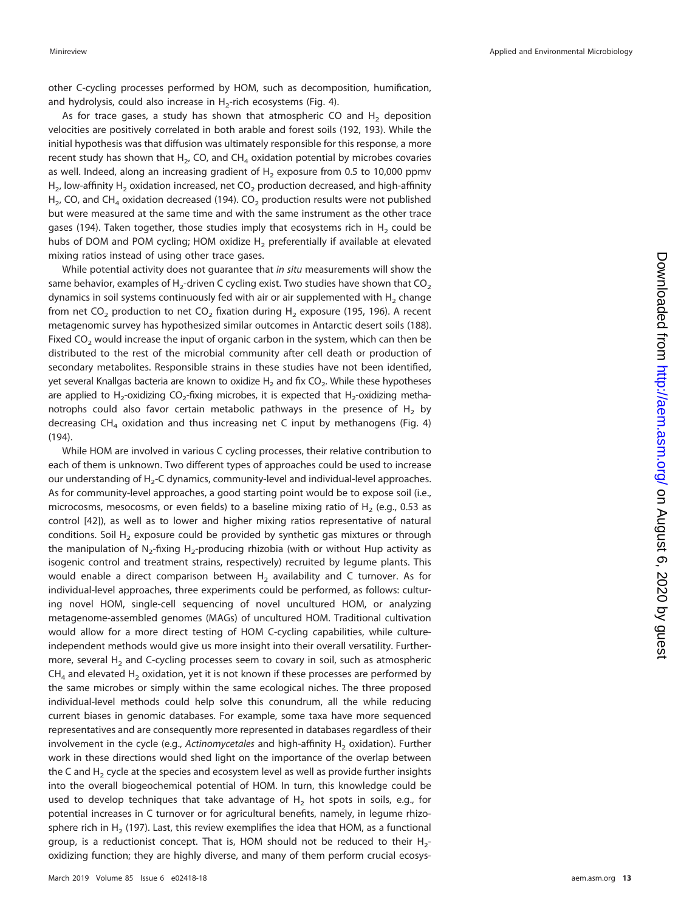other C-cycling processes performed by HOM, such as decomposition, humification, and hydrolysis, could also increase in  $H_2$ -rich ecosystems [\(Fig. 4\)](#page-11-0).

As for trace gases, a study has shown that atmospheric CO and  $H_2$  deposition velocities are positively correlated in both arable and forest soils [\(192,](#page-17-35) [193\)](#page-17-36). While the initial hypothesis was that diffusion was ultimately responsible for this response, a more recent study has shown that H<sub>2</sub>, CO, and CH<sub>4</sub> oxidation potential by microbes covaries as well. Indeed, along an increasing gradient of  $H_2$  exposure from 0.5 to 10,000 ppmv  $H_2$ , low-affinity  $H_2$  oxidation increased, net CO<sub>2</sub> production decreased, and high-affinity H<sub>2</sub>, CO, and CH<sub>4</sub> oxidation decreased [\(194\)](#page-17-37). CO<sub>2</sub> production results were not published but were measured at the same time and with the same instrument as the other trace gases [\(194\)](#page-17-37). Taken together, those studies imply that ecosystems rich in  $H_2$  could be hubs of DOM and POM cycling; HOM oxidize  $H_2$  preferentially if available at elevated mixing ratios instead of using other trace gases.

While potential activity does not guarantee that in situ measurements will show the same behavior, examples of  $H_2$ -driven C cycling exist. Two studies have shown that CO<sub>2</sub> dynamics in soil systems continuously fed with air or air supplemented with  $H_2$  change from net CO<sub>2</sub> production to net CO<sub>2</sub> fixation during H<sub>2</sub> exposure [\(195,](#page-18-7) [196\)](#page-18-8). A recent metagenomic survey has hypothesized similar outcomes in Antarctic desert soils [\(188\)](#page-17-31). Fixed  $CO<sub>2</sub>$  would increase the input of organic carbon in the system, which can then be distributed to the rest of the microbial community after cell death or production of secondary metabolites. Responsible strains in these studies have not been identified, yet several Knallgas bacteria are known to oxidize  $H<sub>2</sub>$  and fix CO<sub>2</sub>. While these hypotheses are applied to H<sub>2</sub>-oxidizing CO<sub>2</sub>-fixing microbes, it is expected that H<sub>2</sub>-oxidizing methanotrophs could also favor certain metabolic pathways in the presence of  $H<sub>2</sub>$  by decreasing CH<sub>4</sub> oxidation and thus increasing net C input by methanogens [\(Fig. 4\)](#page-11-0) [\(194\)](#page-17-37).

While HOM are involved in various C cycling processes, their relative contribution to each of them is unknown. Two different types of approaches could be used to increase our understanding of  $H<sub>2</sub>-C$  dynamics, community-level and individual-level approaches. As for community-level approaches, a good starting point would be to expose soil (i.e., microcosms, mesocosms, or even fields) to a baseline mixing ratio of  $H_2$  (e.g., 0.53 as control [\[42\]](#page-14-5)), as well as to lower and higher mixing ratios representative of natural conditions. Soil  $H_2$  exposure could be provided by synthetic gas mixtures or through the manipulation of  $N_2$ -fixing H<sub>2</sub>-producing rhizobia (with or without Hup activity as isogenic control and treatment strains, respectively) recruited by legume plants. This would enable a direct comparison between  $H_2$  availability and C turnover. As for individual-level approaches, three experiments could be performed, as follows: culturing novel HOM, single-cell sequencing of novel uncultured HOM, or analyzing metagenome-assembled genomes (MAGs) of uncultured HOM. Traditional cultivation would allow for a more direct testing of HOM C-cycling capabilities, while cultureindependent methods would give us more insight into their overall versatility. Furthermore, several H<sub>2</sub> and C-cycling processes seem to covary in soil, such as atmospheric  $CH<sub>4</sub>$  and elevated H<sub>2</sub> oxidation, yet it is not known if these processes are performed by the same microbes or simply within the same ecological niches. The three proposed individual-level methods could help solve this conundrum, all the while reducing current biases in genomic databases. For example, some taxa have more sequenced representatives and are consequently more represented in databases regardless of their involvement in the cycle (e.g., Actinomycetales and high-affinity  $H_2$  oxidation). Further work in these directions would shed light on the importance of the overlap between the C and  $H<sub>2</sub>$  cycle at the species and ecosystem level as well as provide further insights into the overall biogeochemical potential of HOM. In turn, this knowledge could be used to develop techniques that take advantage of  $H_2$  hot spots in soils, e.g., for potential increases in C turnover or for agricultural benefits, namely, in legume rhizo-sphere rich in H<sub>2</sub> [\(197\)](#page-18-9). Last, this review exemplifies the idea that HOM, as a functional group, is a reductionist concept. That is, HOM should not be reduced to their  $H_{2}$ oxidizing function; they are highly diverse, and many of them perform crucial ecosys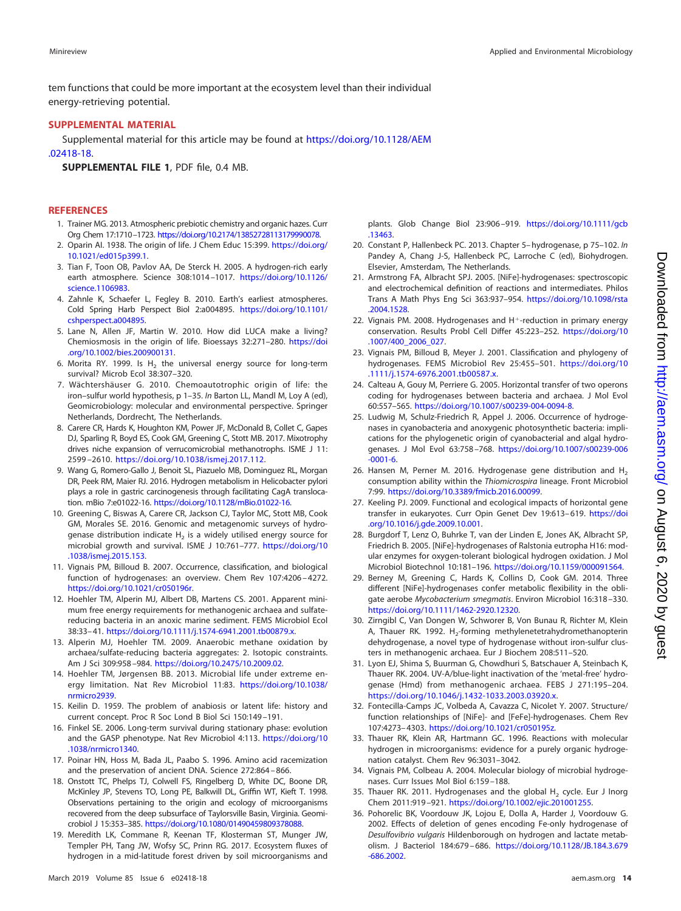tem functions that could be more important at the ecosystem level than their individual energy-retrieving potential.

#### **SUPPLEMENTAL MATERIAL**

Supplemental material for this article may be found at [https://doi.org/10.1128/AEM](https://doi.org/10.1128/AEM.02418-18) [.02418-18.](https://doi.org/10.1128/AEM.02418-18)

**SUPPLEMENTAL FILE 1**, PDF file, 0.4 MB.

#### <span id="page-13-0"></span>**REFERENCES**

- 1. Trainer MG. 2013. Atmospheric prebiotic chemistry and organic hazes. Curr Org Chem 17:1710–1723. [https://doi.org/10.2174/13852728113179990078.](https://doi.org/10.2174/13852728113179990078)
- <span id="page-13-1"></span>2. Oparin AI. 1938. The origin of life. J Chem Educ 15:399. [https://doi.org/](https://doi.org/10.1021/ed015p399.1) [10.1021/ed015p399.1.](https://doi.org/10.1021/ed015p399.1)
- 3. Tian F, Toon OB, Pavlov AA, De Sterck H. 2005. A hydrogen-rich early earth atmosphere. Science 308:1014 –1017. [https://doi.org/10.1126/](https://doi.org/10.1126/science.1106983) [science.1106983.](https://doi.org/10.1126/science.1106983)
- <span id="page-13-2"></span>4. Zahnle K, Schaefer L, Fegley B. 2010. Earth's earliest atmospheres. Cold Spring Harb Perspect Biol 2:a004895. [https://doi.org/10.1101/](https://doi.org/10.1101/cshperspect.a004895) [cshperspect.a004895.](https://doi.org/10.1101/cshperspect.a004895)
- <span id="page-13-3"></span>5. Lane N, Allen JF, Martin W. 2010. How did LUCA make a living? Chemiosmosis in the origin of life. Bioessays 32:271–280. [https://doi](https://doi.org/10.1002/bies.200900131) [.org/10.1002/bies.200900131.](https://doi.org/10.1002/bies.200900131)
- <span id="page-13-5"></span><span id="page-13-4"></span>6. Morita RY. 1999. Is  $H_2$  the universal energy source for long-term survival? Microb Ecol 38:307–320.
- 7. Wächtershäuser G. 2010. Chemoautotrophic origin of life: the iron–sulfur world hypothesis, p 1–35. In Barton LL, Mandl M, Loy A (ed), Geomicrobiology: molecular and environmental perspective. Springer Netherlands, Dordrecht, The Netherlands.
- <span id="page-13-6"></span>8. Carere CR, Hards K, Houghton KM, Power JF, McDonald B, Collet C, Gapes DJ, Sparling R, Boyd ES, Cook GM, Greening C, Stott MB. 2017. Mixotrophy drives niche expansion of verrucomicrobial methanotrophs. ISME J 11: 2599 –2610. [https://doi.org/10.1038/ismej.2017.112.](https://doi.org/10.1038/ismej.2017.112)
- <span id="page-13-7"></span>9. Wang G, Romero-Gallo J, Benoit SL, Piazuelo MB, Dominguez RL, Morgan DR, Peek RM, Maier RJ. 2016. Hydrogen metabolism in Helicobacter pylori plays a role in gastric carcinogenesis through facilitating CagA translocation. mBio 7:e01022-16. [https://doi.org/10.1128/mBio.01022-16.](https://doi.org/10.1128/mBio.01022-16)
- <span id="page-13-8"></span>10. Greening C, Biswas A, Carere CR, Jackson CJ, Taylor MC, Stott MB, Cook GM, Morales SE. 2016. Genomic and metagenomic surveys of hydrogenase distribution indicate  $H_2$  is a widely utilised energy source for microbial growth and survival. ISME J 10:761–777. [https://doi.org/10](https://doi.org/10.1038/ismej.2015.153) [.1038/ismej.2015.153.](https://doi.org/10.1038/ismej.2015.153)
- <span id="page-13-9"></span>11. Vignais PM, Billoud B. 2007. Occurrence, classification, and biological function of hydrogenases: an overview. Chem Rev 107:4206 – 4272. [https://doi.org/10.1021/cr050196r.](https://doi.org/10.1021/cr050196r)
- <span id="page-13-10"></span>12. Hoehler TM, Alperin MJ, Albert DB, Martens CS. 2001. Apparent minimum free energy requirements for methanogenic archaea and sulfatereducing bacteria in an anoxic marine sediment. FEMS Microbiol Ecol 38:33– 41. [https://doi.org/10.1111/j.1574-6941.2001.tb00879.x.](https://doi.org/10.1111/j.1574-6941.2001.tb00879.x)
- <span id="page-13-12"></span><span id="page-13-11"></span>13. Alperin MJ, Hoehler TM. 2009. Anaerobic methane oxidation by archaea/sulfate-reducing bacteria aggregates: 2. Isotopic constraints. Am J Sci 309:958 –984. [https://doi.org/10.2475/10.2009.02.](https://doi.org/10.2475/10.2009.02)
- <span id="page-13-13"></span>14. Hoehler TM, Jørgensen BB. 2013. Microbial life under extreme energy limitation. Nat Rev Microbiol 11:83. [https://doi.org/10.1038/](https://doi.org/10.1038/nrmicro2939) [nrmicro2939.](https://doi.org/10.1038/nrmicro2939)
- <span id="page-13-14"></span>15. Keilin D. 1959. The problem of anabiosis or latent life: history and current concept. Proc R Soc Lond B Biol Sci 150:149 –191.
- <span id="page-13-15"></span>16. Finkel SE. 2006. Long-term survival during stationary phase: evolution and the GASP phenotype. Nat Rev Microbiol 4:113. [https://doi.org/10](https://doi.org/10.1038/nrmicro1340) [.1038/nrmicro1340.](https://doi.org/10.1038/nrmicro1340)
- <span id="page-13-16"></span>17. Poinar HN, Hoss M, Bada JL, Paabo S. 1996. Amino acid racemization and the preservation of ancient DNA. Science 272:864 – 866.
- 18. Onstott TC, Phelps TJ, Colwell FS, Ringelberg D, White DC, Boone DR, McKinley JP, Stevens TO, Long PE, Balkwill DL, Griffin WT, Kieft T. 1998. Observations pertaining to the origin and ecology of microorganisms recovered from the deep subsurface of Taylorsville Basin, Virginia. Geomicrobiol J 15:353–385. [https://doi.org/10.1080/01490459809378088.](https://doi.org/10.1080/01490459809378088)
- <span id="page-13-17"></span>19. Meredith LK, Commane R, Keenan TF, Klosterman ST, Munger JW, Templer PH, Tang JW, Wofsy SC, Prinn RG. 2017. Ecosystem fluxes of hydrogen in a mid-latitude forest driven by soil microorganisms and

plants. Glob Change Biol 23:906 –919. [https://doi.org/10.1111/gcb](https://doi.org/10.1111/gcb.13463) [.13463.](https://doi.org/10.1111/gcb.13463)

- <span id="page-13-18"></span>20. Constant P, Hallenbeck PC. 2013. Chapter 5– hydrogenase, p 75–102. In Pandey A, Chang J-S, Hallenbeck PC, Larroche C (ed), Biohydrogen. Elsevier, Amsterdam, The Netherlands.
- <span id="page-13-19"></span>21. Armstrong FA, Albracht SPJ. 2005. [NiFe]-hydrogenases: spectroscopic and electrochemical definition of reactions and intermediates. Philos Trans A Math Phys Eng Sci 363:937–954. [https://doi.org/10.1098/rsta](https://doi.org/10.1098/rsta.2004.1528) [.2004.1528.](https://doi.org/10.1098/rsta.2004.1528)
- <span id="page-13-20"></span>22. Vignais PM. 2008. Hydrogenases and H<sup>+</sup>-reduction in primary energy conservation. Results Probl Cell Differ 45:223–252. [https://doi.org/10](https://doi.org/10.1007/400_2006_027) [.1007/400\\_2006\\_027.](https://doi.org/10.1007/400_2006_027)
- <span id="page-13-21"></span>23. Vignais PM, Billoud B, Meyer J. 2001. Classification and phylogeny of hydrogenases. FEMS Microbiol Rev 25:455–501. [https://doi.org/10](https://doi.org/10.1111/j.1574-6976.2001.tb00587.x) [.1111/j.1574-6976.2001.tb00587.x.](https://doi.org/10.1111/j.1574-6976.2001.tb00587.x)
- <span id="page-13-22"></span>24. Calteau A, Gouy M, Perriere G. 2005. Horizontal transfer of two operons coding for hydrogenases between bacteria and archaea. J Mol Evol 60:557–565. [https://doi.org/10.1007/s00239-004-0094-8.](https://doi.org/10.1007/s00239-004-0094-8)
- 25. Ludwig M, Schulz-Friedrich R, Appel J. 2006. Occurrence of hydrogenases in cyanobacteria and anoxygenic photosynthetic bacteria: implications for the phylogenetic origin of cyanobacterial and algal hydrogenases. J Mol Evol 63:758 –768. [https://doi.org/10.1007/s00239-006](https://doi.org/10.1007/s00239-006-0001-6) [-0001-6.](https://doi.org/10.1007/s00239-006-0001-6)
- <span id="page-13-23"></span>26. Hansen M, Perner M. 2016. Hydrogenase gene distribution and H<sub>2</sub> consumption ability within the Thiomicrospira lineage. Front Microbiol 7:99. [https://doi.org/10.3389/fmicb.2016.00099.](https://doi.org/10.3389/fmicb.2016.00099)
- <span id="page-13-24"></span>27. Keeling PJ. 2009. Functional and ecological impacts of horizontal gene transfer in eukaryotes. Curr Opin Genet Dev 19:613– 619. [https://doi](https://doi.org/10.1016/j.gde.2009.10.001) [.org/10.1016/j.gde.2009.10.001.](https://doi.org/10.1016/j.gde.2009.10.001)
- <span id="page-13-25"></span>28. Burgdorf T, Lenz O, Buhrke T, van der Linden E, Jones AK, Albracht SP, Friedrich B. 2005. [NiFe]-hydrogenases of Ralstonia eutropha H16: modular enzymes for oxygen-tolerant biological hydrogen oxidation. J Mol Microbiol Biotechnol 10:181–196. [https://doi.org/10.1159/000091564.](https://doi.org/10.1159/000091564)
- <span id="page-13-26"></span>29. Berney M, Greening C, Hards K, Collins D, Cook GM. 2014. Three different [NiFe]-hydrogenases confer metabolic flexibility in the obligate aerobe Mycobacterium smegmatis. Environ Microbiol 16:318 –330. [https://doi.org/10.1111/1462-2920.12320.](https://doi.org/10.1111/1462-2920.12320)
- <span id="page-13-27"></span>30. Zirngibl C, Van Dongen W, Schworer B, Von Bunau R, Richter M, Klein A, Thauer RK. 1992.  $H_2$ -forming methylenetetrahydromethanopterin dehydrogenase, a novel type of hydrogenase without iron-sulfur clusters in methanogenic archaea. Eur J Biochem 208:511–520.
- <span id="page-13-28"></span>31. Lyon EJ, Shima S, Buurman G, Chowdhuri S, Batschauer A, Steinbach K, Thauer RK. 2004. UV-A/blue-light inactivation of the 'metal-free' hydrogenase (Hmd) from methanogenic archaea. FEBS J 271:195–204. [https://doi.org/10.1046/j.1432-1033.2003.03920.x.](https://doi.org/10.1046/j.1432-1033.2003.03920.x)
- <span id="page-13-30"></span><span id="page-13-29"></span>32. Fontecilla-Camps JC, Volbeda A, Cavazza C, Nicolet Y. 2007. Structure/ function relationships of [NiFe]- and [FeFe]-hydrogenases. Chem Rev 107:4273– 4303. [https://doi.org/10.1021/cr050195z.](https://doi.org/10.1021/cr050195z)
- <span id="page-13-31"></span>33. Thauer RK, Klein AR, Hartmann GC. 1996. Reactions with molecular hydrogen in microorganisms: evidence for a purely organic hydrogenation catalyst. Chem Rev 96:3031–3042.
- <span id="page-13-32"></span>34. Vignais PM, Colbeau A. 2004. Molecular biology of microbial hydrogenases. Curr Issues Mol Biol 6:159 –188.
- <span id="page-13-33"></span>35. Thauer RK. 2011. Hydrogenases and the global  $H<sub>2</sub>$  cycle. Eur J Inorg Chem 2011:919 –921. [https://doi.org/10.1002/ejic.201001255.](https://doi.org/10.1002/ejic.201001255)
- 36. Pohorelic BK, Voordouw JK, Lojou E, Dolla A, Harder J, Voordouw G. 2002. Effects of deletion of genes encoding Fe-only hydrogenase of Desulfovibrio vulgaris Hildenborough on hydrogen and lactate metabolism. J Bacteriol 184:679 – 686. [https://doi.org/10.1128/JB.184.3.679](https://doi.org/10.1128/JB.184.3.679-686.2002) [-686.2002.](https://doi.org/10.1128/JB.184.3.679-686.2002)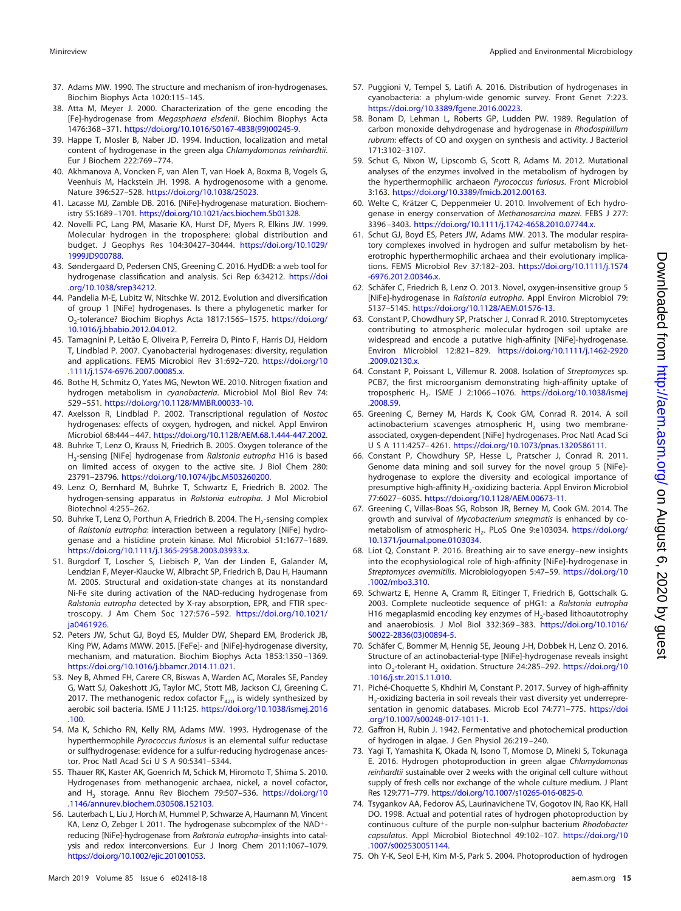- <span id="page-14-1"></span><span id="page-14-0"></span>37. Adams MW. 1990. The structure and mechanism of iron-hydrogenases. Biochim Biophys Acta 1020:115–145.
- 38. Atta M, Meyer J. 2000. Characterization of the gene encoding the [Fe]-hydrogenase from Megasphaera elsdenii. Biochim Biophys Acta 1476:368 –371. [https://doi.org/10.1016/S0167-4838\(99\)00245-9.](https://doi.org/10.1016/S0167-4838(99)00245-9)
- <span id="page-14-2"></span>39. Happe T, Mosler B, Naber JD. 1994. Induction, localization and metal content of hydrogenase in the green alga Chlamydomonas reinhardtii. Eur J Biochem 222:769 –774.
- <span id="page-14-3"></span>40. Akhmanova A, Voncken F, van Alen T, van Hoek A, Boxma B, Vogels G, Veenhuis M, Hackstein JH. 1998. A hydrogenosome with a genome. Nature 396:527–528. [https://doi.org/10.1038/25023.](https://doi.org/10.1038/25023)
- <span id="page-14-5"></span><span id="page-14-4"></span>41. Lacasse MJ, Zamble DB. 2016. [NiFe]-hydrogenase maturation. Biochemistry 55:1689 –1701. [https://doi.org/10.1021/acs.biochem.5b01328.](https://doi.org/10.1021/acs.biochem.5b01328)
- 42. Novelli PC, Lang PM, Masarie KA, Hurst DF, Myers R, Elkins JW. 1999. Molecular hydrogen in the troposphere: global distribution and budget. J Geophys Res 104:30427–30444. [https://doi.org/10.1029/](https://doi.org/10.1029/1999JD900788) [1999JD900788.](https://doi.org/10.1029/1999JD900788)
- <span id="page-14-6"></span>43. Søndergaard D, Pedersen CNS, Greening C. 2016. HydDB: a web tool for hydrogenase classification and analysis. Sci Rep 6:34212. [https://doi](https://doi.org/10.1038/srep34212) [.org/10.1038/srep34212.](https://doi.org/10.1038/srep34212)
- <span id="page-14-7"></span>44. Pandelia M-E, Lubitz W, Nitschke W. 2012. Evolution and diversification of group 1 [NiFe] hydrogenases. Is there a phylogenetic marker for O2-tolerance? Biochim Biophys Acta 1817:1565–1575. [https://doi.org/](https://doi.org/10.1016/j.bbabio.2012.04.012) [10.1016/j.bbabio.2012.04.012.](https://doi.org/10.1016/j.bbabio.2012.04.012)
- <span id="page-14-8"></span>45. Tamagnini P, Leitão E, Oliveira P, Ferreira D, Pinto F, Harris DJ, Heidorn T, Lindblad P. 2007. Cyanobacterial hydrogenases: diversity, regulation and applications. FEMS Microbiol Rev 31:692–720. [https://doi.org/10](https://doi.org/10.1111/j.1574-6976.2007.00085.x) [.1111/j.1574-6976.2007.00085.x.](https://doi.org/10.1111/j.1574-6976.2007.00085.x)
- <span id="page-14-9"></span>46. Bothe H, Schmitz O, Yates MG, Newton WE. 2010. Nitrogen fixation and hydrogen metabolism in cyanobacteria. Microbiol Mol Biol Rev 74: 529 –551. [https://doi.org/10.1128/MMBR.00033-10.](https://doi.org/10.1128/MMBR.00033-10)
- <span id="page-14-10"></span>47. Axelsson R, Lindblad P. 2002. Transcriptional regulation of Nostoc hydrogenases: effects of oxygen, hydrogen, and nickel. Appl Environ Microbiol 68:444 – 447. [https://doi.org/10.1128/AEM.68.1.444-447.2002.](https://doi.org/10.1128/AEM.68.1.444-447.2002)
- <span id="page-14-11"></span>48. Buhrke T, Lenz O, Krauss N, Friedrich B. 2005. Oxygen tolerance of the H<sub>2</sub>-sensing [NiFe] hydrogenase from Ralstonia eutropha H16 is based on limited access of oxygen to the active site. J Biol Chem 280: 23791–23796. [https://doi.org/10.1074/jbc.M503260200.](https://doi.org/10.1074/jbc.M503260200)
- <span id="page-14-12"></span>49. Lenz O, Bernhard M, Buhrke T, Schwartz E, Friedrich B. 2002. The hydrogen-sensing apparatus in Ralstonia eutropha. J Mol Microbiol Biotechnol 4:255–262.
- <span id="page-14-13"></span>50. Buhrke T, Lenz O, Porthun A, Friedrich B. 2004. The H<sub>2</sub>-sensing complex of Ralstonia eutropha: interaction between a regulatory [NiFe] hydrogenase and a histidine protein kinase. Mol Microbiol 51:1677–1689. [https://doi.org/10.1111/j.1365-2958.2003.03933.x.](https://doi.org/10.1111/j.1365-2958.2003.03933.x)
- <span id="page-14-14"></span>51. Burgdorf T, Loscher S, Liebisch P, Van der Linden E, Galander M, Lendzian F, Meyer-Klaucke W, Albracht SP, Friedrich B, Dau H, Haumann M. 2005. Structural and oxidation-state changes at its nonstandard Ni-Fe site during activation of the NAD-reducing hydrogenase from Ralstonia eutropha detected by X-ray absorption, EPR, and FTIR spectroscopy. J Am Chem Soc 127:576 –592. [https://doi.org/10.1021/](https://doi.org/10.1021/ja0461926) [ja0461926.](https://doi.org/10.1021/ja0461926)
- <span id="page-14-15"></span>52. Peters JW, Schut GJ, Boyd ES, Mulder DW, Shepard EM, Broderick JB, King PW, Adams MWW. 2015. [FeFe]- and [NiFe]-hydrogenase diversity, mechanism, and maturation. Biochim Biophys Acta 1853:1350 –1369. [https://doi.org/10.1016/j.bbamcr.2014.11.021.](https://doi.org/10.1016/j.bbamcr.2014.11.021)
- <span id="page-14-16"></span>53. Ney B, Ahmed FH, Carere CR, Biswas A, Warden AC, Morales SE, Pandey G, Watt SJ, Oakeshott JG, Taylor MC, Stott MB, Jackson CJ, Greening C. 2017. The methanogenic redox cofactor  $F_{420}$  is widely synthesized by aerobic soil bacteria. ISME J 11:125. [https://doi.org/10.1038/ismej.2016](https://doi.org/10.1038/ismej.2016.100) [.100.](https://doi.org/10.1038/ismej.2016.100)
- <span id="page-14-17"></span>54. Ma K, Schicho RN, Kelly RM, Adams MW. 1993. Hydrogenase of the hyperthermophile Pyrococcus furiosus is an elemental sulfur reductase or sulfhydrogenase: evidence for a sulfur-reducing hydrogenase ancestor. Proc Natl Acad Sci U S A 90:5341-5344.
- <span id="page-14-18"></span>55. Thauer RK, Kaster AK, Goenrich M, Schick M, Hiromoto T, Shima S. 2010. Hydrogenases from methanogenic archaea, nickel, a novel cofactor, and H<sub>2</sub> storage. Annu Rev Biochem 79:507-536. [https://doi.org/10](https://doi.org/10.1146/annurev.biochem.030508.152103) [.1146/annurev.biochem.030508.152103.](https://doi.org/10.1146/annurev.biochem.030508.152103)
- <span id="page-14-19"></span>56. Lauterbach L, Liu J, Horch M, Hummel P, Schwarze A, Haumann M, Vincent KA, Lenz O, Zebger I. 2011. The hydrogenase subcomplex of the NAD<sup>+</sup>reducing [NiFe]-hydrogenase from Ralstonia eutropha–insights into catalysis and redox interconversions. Eur J Inorg Chem 2011:1067–1079. [https://doi.org/10.1002/ejic.201001053.](https://doi.org/10.1002/ejic.201001053)
- <span id="page-14-20"></span>57. Puggioni V, Tempel S, Latifi A. 2016. Distribution of hydrogenases in cyanobacteria: a phylum-wide genomic survey. Front Genet 7:223. [https://doi.org/10.3389/fgene.2016.00223.](https://doi.org/10.3389/fgene.2016.00223)
- <span id="page-14-21"></span>58. Bonam D, Lehman L, Roberts GP, Ludden PW. 1989. Regulation of carbon monoxide dehydrogenase and hydrogenase in Rhodospirillum rubrum: effects of CO and oxygen on synthesis and activity. J Bacteriol 171:3102–3107.
- <span id="page-14-22"></span>59. Schut G, Nixon W, Lipscomb G, Scott R, Adams M. 2012. Mutational analyses of the enzymes involved in the metabolism of hydrogen by the hyperthermophilic archaeon Pyrococcus furiosus. Front Microbiol 3:163. [https://doi.org/10.3389/fmicb.2012.00163.](https://doi.org/10.3389/fmicb.2012.00163)
- <span id="page-14-23"></span>60. Welte C, Krätzer C, Deppenmeier U. 2010. Involvement of Ech hydrogenase in energy conservation of Methanosarcina mazei. FEBS J 277: 3396 –3403. [https://doi.org/10.1111/j.1742-4658.2010.07744.x.](https://doi.org/10.1111/j.1742-4658.2010.07744.x)
- <span id="page-14-24"></span>61. Schut GJ, Boyd ES, Peters JW, Adams MW. 2013. The modular respiratory complexes involved in hydrogen and sulfur metabolism by heterotrophic hyperthermophilic archaea and their evolutionary implications. FEMS Microbiol Rev 37:182–203. [https://doi.org/10.1111/j.1574](https://doi.org/10.1111/j.1574-6976.2012.00346.x) [-6976.2012.00346.x.](https://doi.org/10.1111/j.1574-6976.2012.00346.x)
- <span id="page-14-25"></span>62. Schäfer C, Friedrich B, Lenz O. 2013. Novel, oxygen-insensitive group 5 [NiFe]-hydrogenase in Ralstonia eutropha. Appl Environ Microbiol 79: 5137–5145. [https://doi.org/10.1128/AEM.01576-13.](https://doi.org/10.1128/AEM.01576-13)
- <span id="page-14-26"></span>63. Constant P, Chowdhury SP, Pratscher J, Conrad R. 2010. Streptomycetes contributing to atmospheric molecular hydrogen soil uptake are widespread and encode a putative high-affinity [NiFe]-hydrogenase. Environ Microbiol 12:821– 829. [https://doi.org/10.1111/j.1462-2920](https://doi.org/10.1111/j.1462-2920.2009.02130.x) [.2009.02130.x.](https://doi.org/10.1111/j.1462-2920.2009.02130.x)
- <span id="page-14-27"></span>64. Constant P, Poissant L, Villemur R. 2008. Isolation of Streptomyces sp. PCB7, the first microorganism demonstrating high-affinity uptake of tropospheric H<sub>2</sub>. ISME J 2:1066-1076. [https://doi.org/10.1038/ismej](https://doi.org/10.1038/ismej.2008.59) [.2008.59.](https://doi.org/10.1038/ismej.2008.59)
- <span id="page-14-28"></span>65. Greening C, Berney M, Hards K, Cook GM, Conrad R. 2014. A soil actinobacterium scavenges atmospheric  $H_2$  using two membraneassociated, oxygen-dependent [NiFe] hydrogenases. Proc Natl Acad Sci U S A 111:4257– 4261. [https://doi.org/10.1073/pnas.1320586111.](https://doi.org/10.1073/pnas.1320586111)
- <span id="page-14-29"></span>66. Constant P, Chowdhury SP, Hesse L, Pratscher J, Conrad R. 2011. Genome data mining and soil survey for the novel group 5 [NiFe] hydrogenase to explore the diversity and ecological importance of presumptive high-affinity  $H_2$ -oxidizing bacteria. Appl Environ Microbiol 77:6027– 6035. [https://doi.org/10.1128/AEM.00673-11.](https://doi.org/10.1128/AEM.00673-11)
- <span id="page-14-30"></span>67. Greening C, Villas-Boas SG, Robson JR, Berney M, Cook GM. 2014. The growth and survival of Mycobacterium smegmatis is enhanced by cometabolism of atmospheric H<sub>2</sub>. PLoS One 9:e103034. [https://doi.org/](https://doi.org/10.1371/journal.pone.0103034) [10.1371/journal.pone.0103034.](https://doi.org/10.1371/journal.pone.0103034)
- <span id="page-14-31"></span>68. Liot Q, Constant P. 2016. Breathing air to save energy–new insights into the ecophysiological role of high-affinity [NiFe]-hydrogenase in Streptomyces avermitilis. Microbiologyopen 5:47–59. [https://doi.org/10](https://doi.org/10.1002/mbo3.310) [.1002/mbo3.310.](https://doi.org/10.1002/mbo3.310)
- <span id="page-14-32"></span>69. Schwartz E, Henne A, Cramm R, Eitinger T, Friedrich B, Gottschalk G. 2003. Complete nucleotide sequence of pHG1: a Ralstonia eutropha H16 megaplasmid encoding key enzymes of  $H_2$ -based lithoautotrophy and anaerobiosis. J Mol Biol 332:369 –383. [https://doi.org/10.1016/](https://doi.org/10.1016/S0022-2836(03)00894-5) [S0022-2836\(03\)00894-5.](https://doi.org/10.1016/S0022-2836(03)00894-5)
- <span id="page-14-33"></span>70. Schäfer C, Bommer M, Hennig SE, Jeoung J-H, Dobbek H, Lenz O. 2016. Structure of an actinobacterial-type [NiFe]-hydrogenase reveals insight into O<sub>2</sub>-tolerant H<sub>2</sub> oxidation. Structure 24:285-292. [https://doi.org/10](https://doi.org/10.1016/j.str.2015.11.010) [.1016/j.str.2015.11.010.](https://doi.org/10.1016/j.str.2015.11.010)
- <span id="page-14-34"></span>71. Piché-Choquette S, Khdhiri M, Constant P. 2017. Survey of high-affinity H<sub>2</sub>-oxidizing bacteria in soil reveals their vast diversity yet underrepresentation in genomic databases. Microb Ecol 74:771–775. [https://doi](https://doi.org/10.1007/s00248-017-1011-1) [.org/10.1007/s00248-017-1011-1.](https://doi.org/10.1007/s00248-017-1011-1)
- <span id="page-14-36"></span><span id="page-14-35"></span>72. Gaffron H, Rubin J. 1942. Fermentative and photochemical production of hydrogen in algae. J Gen Physiol 26:219 –240.
- 73. Yagi T, Yamashita K, Okada N, Isono T, Momose D, Mineki S, Tokunaga E. 2016. Hydrogen photoproduction in green algae Chlamydomonas reinhardtii sustainable over 2 weeks with the original cell culture without supply of fresh cells nor exchange of the whole culture medium. J Plant Res 129:771–779. [https://doi.org/10.1007/s10265-016-0825-0.](https://doi.org/10.1007/s10265-016-0825-0)
- <span id="page-14-37"></span>74. Tsygankov AA, Fedorov AS, Laurinavichene TV, Gogotov IN, Rao KK, Hall DO. 1998. Actual and potential rates of hydrogen photoproduction by continuous culture of the purple non-sulphur bacterium Rhodobacter capsulatus. Appl Microbiol Biotechnol 49:102–107. [https://doi.org/10](https://doi.org/10.1007/s002530051144) [.1007/s002530051144.](https://doi.org/10.1007/s002530051144)
- <span id="page-14-38"></span>75. Oh Y-K, Seol E-H, Kim M-S, Park S. 2004. Photoproduction of hydrogen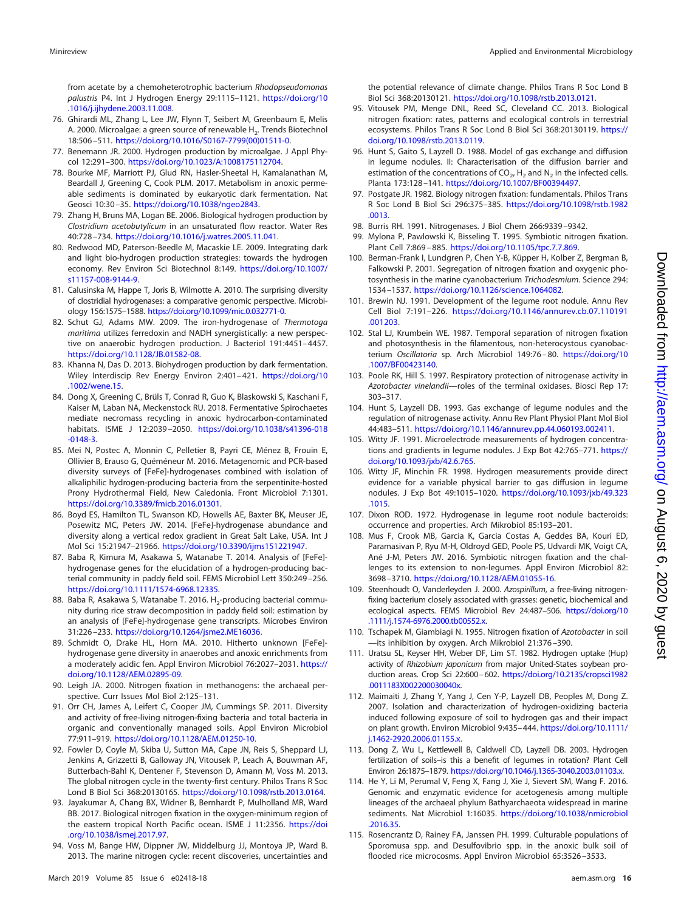from acetate by a chemoheterotrophic bacterium Rhodopseudomonas palustris P4. Int J Hydrogen Energy 29:1115-1121. [https://doi.org/10](https://doi.org/10.1016/j.ijhydene.2003.11.008) [.1016/j.ijhydene.2003.11.008.](https://doi.org/10.1016/j.ijhydene.2003.11.008)

- <span id="page-15-0"></span>76. Ghirardi ML, Zhang L, Lee JW, Flynn T, Seibert M, Greenbaum E, Melis A. 2000. Microalgae: a green source of renewable H<sub>2</sub>. Trends Biotechnol 18:506 –511. [https://doi.org/10.1016/S0167-7799\(00\)01511-0.](https://doi.org/10.1016/S0167-7799(00)01511-0)
- <span id="page-15-2"></span><span id="page-15-1"></span>77. Benemann JR. 2000. Hydrogen production by microalgae. J Appl Phycol 12:291–300. [https://doi.org/10.1023/A:1008175112704.](https://doi.org/10.1023/A:1008175112704)
- 78. Bourke MF, Marriott PJ, Glud RN, Hasler-Sheetal H, Kamalanathan M, Beardall J, Greening C, Cook PLM. 2017. Metabolism in anoxic permeable sediments is dominated by eukaryotic dark fermentation. Nat Geosci 10:30 –35. [https://doi.org/10.1038/ngeo2843.](https://doi.org/10.1038/ngeo2843)
- <span id="page-15-3"></span>79. Zhang H, Bruns MA, Logan BE. 2006. Biological hydrogen production by Clostridium acetobutylicum in an unsaturated flow reactor. Water Res 40:728 –734. [https://doi.org/10.1016/j.watres.2005.11.041.](https://doi.org/10.1016/j.watres.2005.11.041)
- <span id="page-15-4"></span>80. Redwood MD, Paterson-Beedle M, Macaskie LE. 2009. Integrating dark and light bio-hydrogen production strategies: towards the hydrogen economy. Rev Environ Sci Biotechnol 8:149. [https://doi.org/10.1007/](https://doi.org/10.1007/s11157-008-9144-9) [s11157-008-9144-9.](https://doi.org/10.1007/s11157-008-9144-9)
- <span id="page-15-5"></span>81. Calusinska M, Happe T, Joris B, Wilmotte A. 2010. The surprising diversity of clostridial hydrogenases: a comparative genomic perspective. Microbiology 156:1575–1588. [https://doi.org/10.1099/mic.0.032771-0.](https://doi.org/10.1099/mic.0.032771-0)
- <span id="page-15-6"></span>82. Schut GJ, Adams MW. 2009. The iron-hydrogenase of Thermotoga maritima utilizes ferredoxin and NADH synergistically: a new perspective on anaerobic hydrogen production. J Bacteriol 191:4451– 4457. [https://doi.org/10.1128/JB.01582-08.](https://doi.org/10.1128/JB.01582-08)
- <span id="page-15-7"></span>83. Khanna N, Das D. 2013. Biohydrogen production by dark fermentation. Wiley Interdiscip Rev Energy Environ 2:401– 421. [https://doi.org/10](https://doi.org/10.1002/wene.15) [.1002/wene.15.](https://doi.org/10.1002/wene.15)
- <span id="page-15-8"></span>84. Dong X, Greening C, Brüls T, Conrad R, Guo K, Blaskowski S, Kaschani F, Kaiser M, Laban NA, Meckenstock RU. 2018. Fermentative Spirochaetes mediate necromass recycling in anoxic hydrocarbon-contaminated habitats. ISME J 12:2039 –2050. [https://doi.org/10.1038/s41396-018](https://doi.org/10.1038/s41396-018-0148-3) [-0148-3.](https://doi.org/10.1038/s41396-018-0148-3)
- <span id="page-15-9"></span>85. Mei N, Postec A, Monnin C, Pelletier B, Payri CE, Ménez B, Frouin E, Ollivier B, Erauso G, Quéméneur M. 2016. Metagenomic and PCR-based diversity surveys of [FeFe]-hydrogenases combined with isolation of alkaliphilic hydrogen-producing bacteria from the serpentinite-hosted Prony Hydrothermal Field, New Caledonia. Front Microbiol 7:1301. [https://doi.org/10.3389/fmicb.2016.01301.](https://doi.org/10.3389/fmicb.2016.01301)
- <span id="page-15-10"></span>86. Boyd ES, Hamilton TL, Swanson KD, Howells AE, Baxter BK, Meuser JE, Posewitz MC, Peters JW. 2014. [FeFe]-hydrogenase abundance and diversity along a vertical redox gradient in Great Salt Lake, USA. Int J Mol Sci 15:21947–21966. [https://doi.org/10.3390/ijms151221947.](https://doi.org/10.3390/ijms151221947)
- <span id="page-15-11"></span>87. Baba R, Kimura M, Asakawa S, Watanabe T. 2014. Analysis of [FeFe] hydrogenase genes for the elucidation of a hydrogen-producing bacterial community in paddy field soil. FEMS Microbiol Lett 350:249 –256. [https://doi.org/10.1111/1574-6968.12335.](https://doi.org/10.1111/1574-6968.12335)
- <span id="page-15-12"></span>88. Baba R, Asakawa S, Watanabe T. 2016. H<sub>2</sub>-producing bacterial community during rice straw decomposition in paddy field soil: estimation by an analysis of [FeFe]-hydrogenase gene transcripts. Microbes Environ 31:226 –233. [https://doi.org/10.1264/jsme2.ME16036.](https://doi.org/10.1264/jsme2.ME16036)
- <span id="page-15-13"></span>89. Schmidt O, Drake HL, Horn MA. 2010. Hitherto unknown [FeFe] hydrogenase gene diversity in anaerobes and anoxic enrichments from a moderately acidic fen. Appl Environ Microbiol 76:2027–2031. [https://](https://doi.org/10.1128/AEM.02895-09) [doi.org/10.1128/AEM.02895-09.](https://doi.org/10.1128/AEM.02895-09)
- <span id="page-15-15"></span><span id="page-15-14"></span>90. Leigh JA. 2000. Nitrogen fixation in methanogens: the archaeal perspective. Curr Issues Mol Biol 2:125–131.
- 91. Orr CH, James A, Leifert C, Cooper JM, Cummings SP. 2011. Diversity and activity of free-living nitrogen-fixing bacteria and total bacteria in organic and conventionally managed soils. Appl Environ Microbiol 77:911–919. [https://doi.org/10.1128/AEM.01250-10.](https://doi.org/10.1128/AEM.01250-10)
- <span id="page-15-16"></span>92. Fowler D, Coyle M, Skiba U, Sutton MA, Cape JN, Reis S, Sheppard LJ, Jenkins A, Grizzetti B, Galloway JN, Vitousek P, Leach A, Bouwman AF, Butterbach-Bahl K, Dentener F, Stevenson D, Amann M, Voss M. 2013. The global nitrogen cycle in the twenty-first century. Philos Trans R Soc Lond B Biol Sci 368:20130165. [https://doi.org/10.1098/rstb.2013.0164.](https://doi.org/10.1098/rstb.2013.0164)
- <span id="page-15-17"></span>93. Jayakumar A, Chang BX, Widner B, Bernhardt P, Mulholland MR, Ward BB. 2017. Biological nitrogen fixation in the oxygen-minimum region of the eastern tropical North Pacific ocean. ISME J 11:2356. [https://doi](https://doi.org/10.1038/ismej.2017.97) [.org/10.1038/ismej.2017.97.](https://doi.org/10.1038/ismej.2017.97)
- <span id="page-15-18"></span>94. Voss M, Bange HW, Dippner JW, Middelburg JJ, Montoya JP, Ward B. 2013. The marine nitrogen cycle: recent discoveries, uncertainties and

the potential relevance of climate change. Philos Trans R Soc Lond B Biol Sci 368:20130121. [https://doi.org/10.1098/rstb.2013.0121.](https://doi.org/10.1098/rstb.2013.0121)

- <span id="page-15-19"></span>95. Vitousek PM, Menge DNL, Reed SC, Cleveland CC. 2013. Biological nitrogen fixation: rates, patterns and ecological controls in terrestrial ecosystems. Philos Trans R Soc Lond B Biol Sci 368:20130119. [https://](https://doi.org/10.1098/rstb.2013.0119) [doi.org/10.1098/rstb.2013.0119.](https://doi.org/10.1098/rstb.2013.0119)
- <span id="page-15-20"></span>96. Hunt S, Gaito S, Layzell D. 1988. Model of gas exchange and diffusion in legume nodules. II: Characterisation of the diffusion barrier and estimation of the concentrations of  $CO<sub>2</sub>$ , H<sub>2</sub> and N<sub>2</sub> in the infected cells. Planta 173:128 –141. [https://doi.org/10.1007/BF00394497.](https://doi.org/10.1007/BF00394497)
- <span id="page-15-21"></span>97. Postgate JR. 1982. Biology nitrogen fixation: fundamentals. Philos Trans R Soc Lond B Biol Sci 296:375–385. [https://doi.org/10.1098/rstb.1982](https://doi.org/10.1098/rstb.1982.0013) [.0013.](https://doi.org/10.1098/rstb.1982.0013)
- <span id="page-15-23"></span><span id="page-15-22"></span>98. Burris RH. 1991. Nitrogenases. J Biol Chem 266:9339 –9342.
- 99. Mylona P, Pawlowski K, Bisseling T. 1995. Symbiotic nitrogen fixation. Plant Cell 7:869 – 885. [https://doi.org/10.1105/tpc.7.7.869.](https://doi.org/10.1105/tpc.7.7.869)
- <span id="page-15-24"></span>100. Berman-Frank I, Lundgren P, Chen Y-B, Küpper H, Kolber Z, Bergman B, Falkowski P. 2001. Segregation of nitrogen fixation and oxygenic photosynthesis in the marine cyanobacterium Trichodesmium. Science 294: 1534 –1537. [https://doi.org/10.1126/science.1064082.](https://doi.org/10.1126/science.1064082)
- <span id="page-15-25"></span>101. Brewin NJ. 1991. Development of the legume root nodule. Annu Rev Cell Biol 7:191–226. [https://doi.org/10.1146/annurev.cb.07.110191](https://doi.org/10.1146/annurev.cb.07.110191.001203) [.001203.](https://doi.org/10.1146/annurev.cb.07.110191.001203)
- <span id="page-15-26"></span>102. Stal LJ, Krumbein WE. 1987. Temporal separation of nitrogen fixation and photosynthesis in the filamentous, non-heterocystous cyanobacterium Oscillatoria sp. Arch Microbiol 149:76 – 80. [https://doi.org/10](https://doi.org/10.1007/BF00423140) [.1007/BF00423140.](https://doi.org/10.1007/BF00423140)
- <span id="page-15-27"></span>103. Poole RK, Hill S. 1997. Respiratory protection of nitrogenase activity in Azotobacter vinelandii—roles of the terminal oxidases. Biosci Rep 17: 303–317.
- <span id="page-15-28"></span>104. Hunt S, Layzell DB. 1993. Gas exchange of legume nodules and the regulation of nitrogenase activity. Annu Rev Plant Physiol Plant Mol Biol 44:483–511. [https://doi.org/10.1146/annurev.pp.44.060193.002411.](https://doi.org/10.1146/annurev.pp.44.060193.002411)
- <span id="page-15-29"></span>105. Witty JF. 1991. Microelectrode measurements of hydrogen concentrations and gradients in legume nodules. J Exp Bot 42:765–771. [https://](https://doi.org/10.1093/jxb/42.6.765) [doi.org/10.1093/jxb/42.6.765.](https://doi.org/10.1093/jxb/42.6.765)
- <span id="page-15-30"></span>106. Witty JF, Minchin FR. 1998. Hydrogen measurements provide direct evidence for a variable physical barrier to gas diffusion in legume nodules. J Exp Bot 49:1015–1020. [https://doi.org/10.1093/jxb/49.323](https://doi.org/10.1093/jxb/49.323.1015) [.1015.](https://doi.org/10.1093/jxb/49.323.1015)
- <span id="page-15-32"></span><span id="page-15-31"></span>107. Dixon ROD. 1972. Hydrogenase in legume root nodule bacteroids: occurrence and properties. Arch Mikrobiol 85:193–201.
- 108. Mus F, Crook MB, Garcia K, Garcia Costas A, Geddes BA, Kouri ED, Paramasivan P, Ryu M-H, Oldroyd GED, Poole PS, Udvardi MK, Voigt CA, Ané J-M, Peters JW. 2016. Symbiotic nitrogen fixation and the challenges to its extension to non-legumes. Appl Environ Microbiol 82: 3698 –3710. [https://doi.org/10.1128/AEM.01055-16.](https://doi.org/10.1128/AEM.01055-16)
- <span id="page-15-33"></span>109. Steenhoudt O, Vanderleyden J. 2000. Azospirillum, a free-living nitrogenfixing bacterium closely associated with grasses: genetic, biochemical and ecological aspects. FEMS Microbiol Rev 24:487–506. [https://doi.org/10](https://doi.org/10.1111/j.1574-6976.2000.tb00552.x) [.1111/j.1574-6976.2000.tb00552.x.](https://doi.org/10.1111/j.1574-6976.2000.tb00552.x)
- <span id="page-15-35"></span><span id="page-15-34"></span>110. Tschapek M, Giambiagi N. 1955. Nitrogen fixation of Azotobacter in soil —its inhibition by oxygen. Arch Mikrobiol 21:376 –390.
- 111. Uratsu SL, Keyser HH, Weber DF, Lim ST. 1982. Hydrogen uptake (Hup) activity of Rhizobium japonicum from major United-States soybean production areas. Crop Sci 22:600 –602. [https://doi.org/10.2135/cropsci1982](https://doi.org/10.2135/cropsci1982.0011183X002200030040x) [.0011183X002200030040x.](https://doi.org/10.2135/cropsci1982.0011183X002200030040x)
- <span id="page-15-36"></span>112. Maimaiti J, Zhang Y, Yang J, Cen Y-P, Layzell DB, Peoples M, Dong Z. 2007. Isolation and characterization of hydrogen-oxidizing bacteria induced following exposure of soil to hydrogen gas and their impact on plant growth. Environ Microbiol 9:435– 444. [https://doi.org/10.1111/](https://doi.org/10.1111/j.1462-2920.2006.01155.x) [j.1462-2920.2006.01155.x.](https://doi.org/10.1111/j.1462-2920.2006.01155.x)
- <span id="page-15-38"></span><span id="page-15-37"></span>113. Dong Z, Wu L, Kettlewell B, Caldwell CD, Layzell DB. 2003. Hydrogen fertilization of soils–is this a benefit of legumes in rotation? Plant Cell Environ 26:1875–1879. [https://doi.org/10.1046/j.1365-3040.2003.01103.x.](https://doi.org/10.1046/j.1365-3040.2003.01103.x)
- 114. He Y, Li M, Perumal V, Feng X, Fang J, Xie J, Sievert SM, Wang F. 2016. Genomic and enzymatic evidence for acetogenesis among multiple lineages of the archaeal phylum Bathyarchaeota widespread in marine sediments. Nat Microbiol 1:16035. [https://doi.org/10.1038/nmicrobiol](https://doi.org/10.1038/nmicrobiol.2016.35) [.2016.35.](https://doi.org/10.1038/nmicrobiol.2016.35)
- <span id="page-15-39"></span>115. Rosencrantz D, Rainey FA, Janssen PH. 1999. Culturable populations of Sporomusa spp. and Desulfovibrio spp. in the anoxic bulk soil of flooded rice microcosms. Appl Environ Microbiol 65:3526 –3533.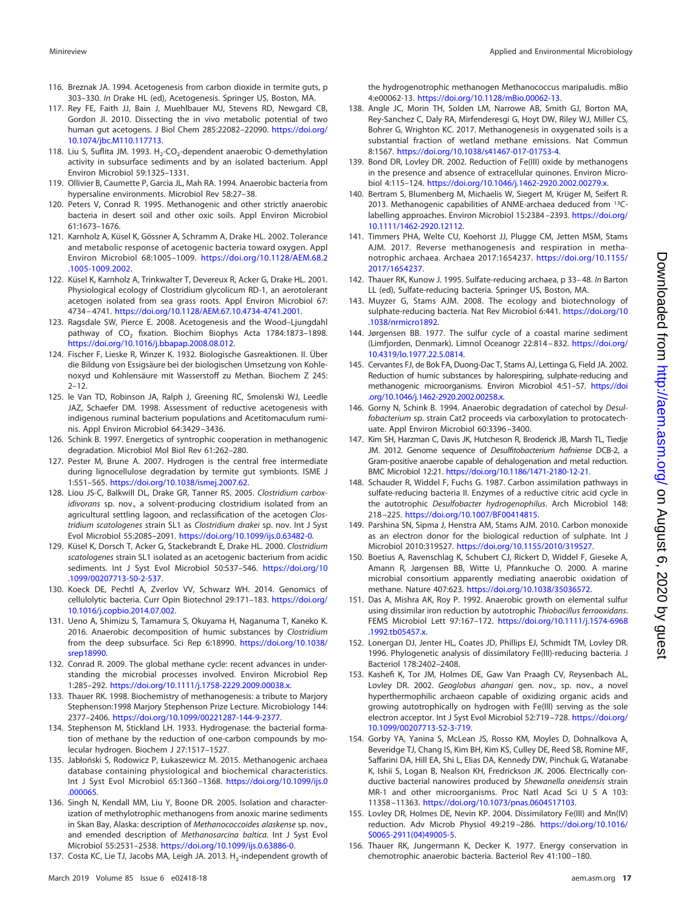- <span id="page-16-1"></span><span id="page-16-0"></span>116. Breznak JA. 1994. Acetogenesis from carbon dioxide in termite guts, p 303–330. In Drake HL (ed), Acetogenesis. Springer US, Boston, MA.
- 117. Rey FE, Faith JJ, Bain J, Muehlbauer MJ, Stevens RD, Newgard CB, Gordon JI. 2010. Dissecting the in vivo metabolic potential of two human gut acetogens. J Biol Chem 285:22082–22090. [https://doi.org/](https://doi.org/10.1074/jbc.M110.117713) [10.1074/jbc.M110.117713.](https://doi.org/10.1074/jbc.M110.117713)
- <span id="page-16-2"></span>118. Liu S, Suflita JM. 1993.  $H_2$ -CO<sub>2</sub>-dependent anaerobic O-demethylation activity in subsurface sediments and by an isolated bacterium. Appl Environ Microbiol 59:1325–1331.
- <span id="page-16-4"></span><span id="page-16-3"></span>119. Ollivier B, Caumette P, Garcia JL, Mah RA. 1994. Anaerobic bacteria from hypersaline environments. Microbiol Rev 58:27–38.
- 120. Peters V, Conrad R. 1995. Methanogenic and other strictly anaerobic bacteria in desert soil and other oxic soils. Appl Environ Microbiol 61:1673–1676.
- <span id="page-16-5"></span>121. Karnholz A, Küsel K, Gössner A, Schramm A, Drake HL. 2002. Tolerance and metabolic response of acetogenic bacteria toward oxygen. Appl Environ Microbiol 68:1005–1009. [https://doi.org/10.1128/AEM.68.2](https://doi.org/10.1128/AEM.68.2.1005-1009.2002) [.1005-1009.2002.](https://doi.org/10.1128/AEM.68.2.1005-1009.2002)
- <span id="page-16-6"></span>122. Küsel K, Karnholz A, Trinkwalter T, Devereux R, Acker G, Drake HL. 2001. Physiological ecology of Clostridium glycolicum RD-1, an aerotolerant acetogen isolated from sea grass roots. Appl Environ Microbiol 67: 4734 – 4741. [https://doi.org/10.1128/AEM.67.10.4734-4741.2001.](https://doi.org/10.1128/AEM.67.10.4734-4741.2001)
- <span id="page-16-7"></span>123. Ragsdale SW, Pierce E. 2008. Acetogenesis and the Wood–Ljungdahl pathway of  $CO<sub>2</sub>$  fixation. Biochim Biophys Acta 1784:1873-1898. [https://doi.org/10.1016/j.bbapap.2008.08.012.](https://doi.org/10.1016/j.bbapap.2008.08.012)
- <span id="page-16-8"></span>124. Fischer F, Lieske R, Winzer K. 1932. Biologische Gasreaktionen. II. Über die Bildung von Essigsäure bei der biologischen Umsetzung von Kohlenoxyd und Kohlensäure mit Wasserstoff zu Methan. Biochem Z 245:  $2 - 12$ .
- <span id="page-16-9"></span>125. le Van TD, Robinson JA, Ralph J, Greening RC, Smolenski WJ, Leedle JAZ, Schaefer DM. 1998. Assessment of reductive acetogenesis with indigenous ruminal bacterium populations and Acetitomaculum ruminis. Appl Environ Microbiol 64:3429 –3436.
- <span id="page-16-11"></span><span id="page-16-10"></span>126. Schink B. 1997. Energetics of syntrophic cooperation in methanogenic degradation. Microbiol Mol Biol Rev 61:262–280.
- 127. Pester M, Brune A. 2007. Hydrogen is the central free intermediate during lignocellulose degradation by termite gut symbionts. ISME J 1:551–565. [https://doi.org/10.1038/ismej.2007.62.](https://doi.org/10.1038/ismej.2007.62)
- <span id="page-16-12"></span>128. Liou JS-C, Balkwill DL, Drake GR, Tanner RS. 2005. Clostridium carboxidivorans sp. nov., a solvent-producing clostridium isolated from an agricultural settling lagoon, and reclassification of the acetogen Clostridium scatologenes strain SL1 as Clostridium drakei sp. nov. Int J Syst Evol Microbiol 55:2085–2091. [https://doi.org/10.1099/ijs.0.63482-0.](https://doi.org/10.1099/ijs.0.63482-0)
- <span id="page-16-13"></span>129. Küsel K, Dorsch T, Acker G, Stackebrandt E, Drake HL. 2000. Clostridium scatologenes strain SL1 isolated as an acetogenic bacterium from acidic sediments. Int J Syst Evol Microbiol 50:537–546. [https://doi.org/10](https://doi.org/10.1099/00207713-50-2-537) [.1099/00207713-50-2-537.](https://doi.org/10.1099/00207713-50-2-537)
- <span id="page-16-15"></span><span id="page-16-14"></span>130. Koeck DE, Pechtl A, Zverlov VV, Schwarz WH. 2014. Genomics of cellulolytic bacteria. Curr Opin Biotechnol 29:171–183. [https://doi.org/](https://doi.org/10.1016/j.copbio.2014.07.002) [10.1016/j.copbio.2014.07.002.](https://doi.org/10.1016/j.copbio.2014.07.002)
- 131. Ueno A, Shimizu S, Tamamura S, Okuyama H, Naganuma T, Kaneko K. 2016. Anaerobic decomposition of humic substances by Clostridium from the deep subsurface. Sci Rep 6:18990. [https://doi.org/10.1038/](https://doi.org/10.1038/srep18990) [srep18990.](https://doi.org/10.1038/srep18990)
- <span id="page-16-17"></span><span id="page-16-16"></span>132. Conrad R. 2009. The global methane cycle: recent advances in understanding the microbial processes involved. Environ Microbiol Rep 1:285–292. [https://doi.org/10.1111/j.1758-2229.2009.00038.x.](https://doi.org/10.1111/j.1758-2229.2009.00038.x)
- <span id="page-16-18"></span>133. Thauer RK. 1998. Biochemistry of methanogenesis: a tribute to Marjory Stephenson:1998 Marjory Stephenson Prize Lecture. Microbiology 144: 2377–2406. [https://doi.org/10.1099/00221287-144-9-2377.](https://doi.org/10.1099/00221287-144-9-2377)
- <span id="page-16-19"></span>134. Stephenson M, Stickland LH. 1933. Hydrogenase: the bacterial formation of methane by the reduction of one-carbon compounds by molecular hydrogen. Biochem J 27:1517–1527.
- 135. Jabłoński S, Rodowicz P, Łukaszewicz M. 2015. Methanogenic archaea database containing physiological and biochemical characteristics. Int J Syst Evol Microbiol 65:1360 –1368. [https://doi.org/10.1099/ijs.0](https://doi.org/10.1099/ijs.0.000065) [.000065.](https://doi.org/10.1099/ijs.0.000065)
- <span id="page-16-20"></span>136. Singh N, Kendall MM, Liu Y, Boone DR. 2005. Isolation and characterization of methylotrophic methanogens from anoxic marine sediments in Skan Bay, Alaska: description of Methanococcoides alaskense sp. nov., and emended description of Methanosarcina baltica. Int J Syst Evol Microbiol 55:2531–2538. [https://doi.org/10.1099/ijs.0.63886-0.](https://doi.org/10.1099/ijs.0.63886-0)
- <span id="page-16-21"></span>137. Costa KC, Lie TJ, Jacobs MA, Leigh JA. 2013. H<sub>2</sub>-independent growth of

the hydrogenotrophic methanogen Methanococcus maripaludis. mBio 4:e00062-13. [https://doi.org/10.1128/mBio.00062-13.](https://doi.org/10.1128/mBio.00062-13)

- <span id="page-16-22"></span>138. Angle JC, Morin TH, Solden LM, Narrowe AB, Smith GJ, Borton MA, Rey-Sanchez C, Daly RA, Mirfenderesgi G, Hoyt DW, Riley WJ, Miller CS, Bohrer G, Wrighton KC. 2017. Methanogenesis in oxygenated soils is a substantial fraction of wetland methane emissions. Nat Commun 8:1567. [https://doi.org/10.1038/s41467-017-01753-4.](https://doi.org/10.1038/s41467-017-01753-4)
- <span id="page-16-23"></span>139. Bond DR, Lovley DR. 2002. Reduction of Fe(III) oxide by methanogens in the presence and absence of extracellular quinones. Environ Microbiol 4:115–124. [https://doi.org/10.1046/j.1462-2920.2002.00279.x.](https://doi.org/10.1046/j.1462-2920.2002.00279.x)
- <span id="page-16-24"></span>140. Bertram S, Blumenberg M, Michaelis W, Siegert M, Krüger M, Seifert R. 2013. Methanogenic capabilities of ANME-archaea deduced from 13Clabelling approaches. Environ Microbiol 15:2384 –2393. [https://doi.org/](https://doi.org/10.1111/1462-2920.12112) [10.1111/1462-2920.12112.](https://doi.org/10.1111/1462-2920.12112)
- <span id="page-16-25"></span>141. Timmers PHA, Welte CU, Koehorst JJ, Plugge CM, Jetten MSM, Stams AJM. 2017. Reverse methanogenesis and respiration in methanotrophic archaea. Archaea 2017:1654237. [https://doi.org/10.1155/](https://doi.org/10.1155/2017/1654237) [2017/1654237.](https://doi.org/10.1155/2017/1654237)
- <span id="page-16-27"></span><span id="page-16-26"></span>142. Thauer RK, Kunow J. 1995. Sulfate-reducing archaea, p 33– 48. In Barton LL (ed), Sulfate-reducing bacteria. Springer US, Boston, MA.
- 143. Muyzer G, Stams AJM. 2008. The ecology and biotechnology of sulphate-reducing bacteria. Nat Rev Microbiol 6:441. [https://doi.org/10](https://doi.org/10.1038/nrmicro1892) [.1038/nrmicro1892.](https://doi.org/10.1038/nrmicro1892)
- <span id="page-16-28"></span>144. Jørgensen BB. 1977. The sulfur cycle of a coastal marine sediment (Limfjorden, Denmark). Limnol Oceanogr 22:814 – 832. [https://doi.org/](https://doi.org/10.4319/lo.1977.22.5.0814) [10.4319/lo.1977.22.5.0814.](https://doi.org/10.4319/lo.1977.22.5.0814)
- <span id="page-16-29"></span>145. Cervantes FJ, de Bok FA, Duong-Dac T, Stams AJ, Lettinga G, Field JA. 2002. Reduction of humic substances by halorespiring, sulphate-reducing and methanogenic microorganisms. Environ Microbiol 4:51–57. [https://doi](https://doi.org/10.1046/j.1462-2920.2002.00258.x) [.org/10.1046/j.1462-2920.2002.00258.x.](https://doi.org/10.1046/j.1462-2920.2002.00258.x)
- <span id="page-16-30"></span>146. Gorny N, Schink B. 1994. Anaerobic degradation of catechol by Desulfobacterium sp. strain Cat2 proceeds via carboxylation to protocatechuate. Appl Environ Microbiol 60:3396 –3400.
- <span id="page-16-31"></span>147. Kim SH, Harzman C, Davis JK, Hutcheson R, Broderick JB, Marsh TL, Tiedje JM. 2012. Genome sequence of Desulfitobacterium hafniense DCB-2, a Gram-positive anaerobe capable of dehalogenation and metal reduction. BMC Microbiol 12:21. [https://doi.org/10.1186/1471-2180-12-21.](https://doi.org/10.1186/1471-2180-12-21)
- <span id="page-16-32"></span>148. Schauder R, Widdel F, Fuchs G. 1987. Carbon assimilation pathways in sulfate-reducing bacteria II. Enzymes of a reductive citric acid cycle in the autotrophic Desulfobacter hydrogenophilus. Arch Microbiol 148: 218 –225. [https://doi.org/10.1007/BF00414815.](https://doi.org/10.1007/BF00414815)
- <span id="page-16-33"></span>149. Parshina SN, Sipma J, Henstra AM, Stams AJM. 2010. Carbon monoxide as an electron donor for the biological reduction of sulphate. Int J Microbiol 2010:319527. [https://doi.org/10.1155/2010/319527.](https://doi.org/10.1155/2010/319527)
- <span id="page-16-34"></span>150. Boetius A, Ravenschlag K, Schubert CJ, Rickert D, Widdel F, Gieseke A, Amann R, Jørgensen BB, Witte U, Pfannkuche O. 2000. A marine microbial consortium apparently mediating anaerobic oxidation of methane. Nature 407:623. [https://doi.org/10.1038/35036572.](https://doi.org/10.1038/35036572)
- <span id="page-16-35"></span>151. Das A, Mishra AK, Roy P. 1992. Anaerobic growth on elemental sulfur using dissimilar iron reduction by autotrophic Thiobacillus ferrooxidans. FEMS Microbiol Lett 97:167–172. [https://doi.org/10.1111/j.1574-6968](https://doi.org/10.1111/j.1574-6968.1992.tb05457.x) [.1992.tb05457.x.](https://doi.org/10.1111/j.1574-6968.1992.tb05457.x)
- <span id="page-16-36"></span>152. Lonergan DJ, Jenter HL, Coates JD, Phillips EJ, Schmidt TM, Lovley DR. 1996. Phylogenetic analysis of dissimilatory Fe(III)-reducing bacteria. J Bacteriol 178:2402–2408.
- <span id="page-16-37"></span>153. Kashefi K, Tor JM, Holmes DE, Gaw Van Praagh CV, Reysenbach AL, Lovley DR. 2002. Geoglobus ahangari gen. nov., sp. nov., a novel hyperthermophilic archaeon capable of oxidizing organic acids and growing autotrophically on hydrogen with Fe(III) serving as the sole electron acceptor. Int J Syst Evol Microbiol 52:719 –728. [https://doi.org/](https://doi.org/10.1099/00207713-52-3-719) [10.1099/00207713-52-3-719.](https://doi.org/10.1099/00207713-52-3-719)
- <span id="page-16-38"></span>154. Gorby YA, Yanina S, McLean JS, Rosso KM, Moyles D, Dohnalkova A, Beveridge TJ, Chang IS, Kim BH, Kim KS, Culley DE, Reed SB, Romine MF, Saffarini DA, Hill EA, Shi L, Elias DA, Kennedy DW, Pinchuk G, Watanabe K, Ishii S, Logan B, Nealson KH, Fredrickson JK. 2006. Electrically conductive bacterial nanowires produced by Shewanella oneidensis strain MR-1 and other microorganisms. Proc Natl Acad Sci U S A 103: 11358 –11363. [https://doi.org/10.1073/pnas.0604517103.](https://doi.org/10.1073/pnas.0604517103)
- <span id="page-16-40"></span><span id="page-16-39"></span>155. Lovley DR, Holmes DE, Nevin KP. 2004. Dissimilatory Fe(III) and Mn(IV) reduction. Adv Microb Physiol 49:219 –286. [https://doi.org/10.1016/](https://doi.org/10.1016/S0065-2911(04)49005-5) [S0065-2911\(04\)49005-5.](https://doi.org/10.1016/S0065-2911(04)49005-5)
- 156. Thauer RK, Jungermann K, Decker K. 1977. Energy conservation in chemotrophic anaerobic bacteria. Bacteriol Rev 41:100 –180.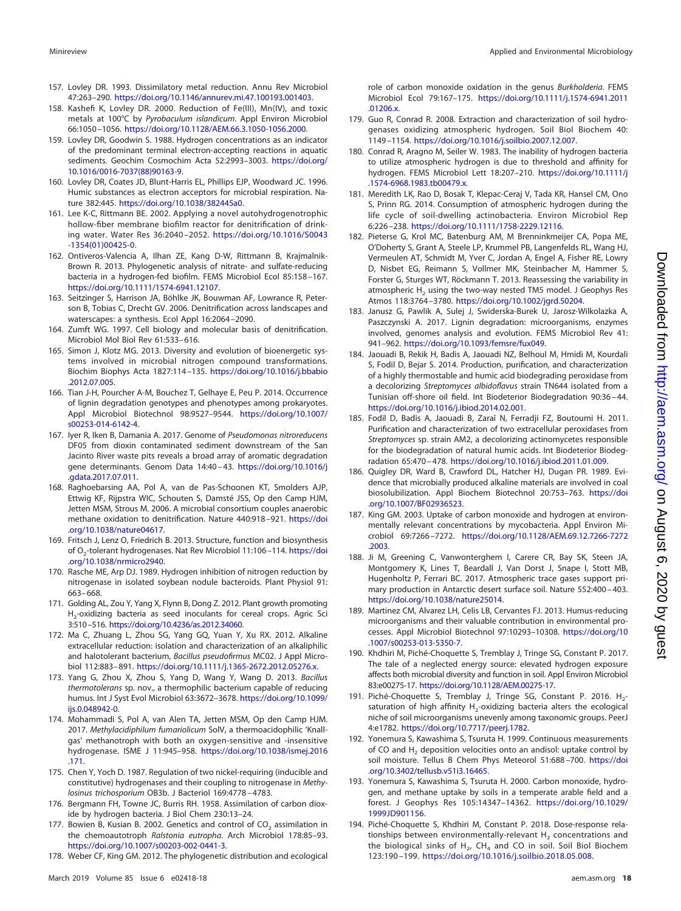- <span id="page-17-1"></span><span id="page-17-0"></span>157. Lovley DR. 1993. Dissimilatory metal reduction. Annu Rev Microbiol 47:263–290. [https://doi.org/10.1146/annurev.mi.47.100193.001403.](https://doi.org/10.1146/annurev.mi.47.100193.001403)
- 158. Kashefi K, Lovley DR. 2000. Reduction of Fe(III), Mn(IV), and toxic metals at 100°C by Pyrobaculum islandicum. Appl Environ Microbiol 66:1050 –1056. [https://doi.org/10.1128/AEM.66.3.1050-1056.2000.](https://doi.org/10.1128/AEM.66.3.1050-1056.2000)
- <span id="page-17-2"></span>159. Lovley DR, Goodwin S. 1988. Hydrogen concentrations as an indicator of the predominant terminal electron-accepting reactions in aquatic sediments. Geochim Cosmochim Acta 52:2993-3003. [https://doi.org/](https://doi.org/10.1016/0016-7037(88)90163-9) [10.1016/0016-7037\(88\)90163-9.](https://doi.org/10.1016/0016-7037(88)90163-9)
- <span id="page-17-3"></span>160. Lovley DR, Coates JD, Blunt-Harris EL, Phillips EJP, Woodward JC. 1996. Humic substances as electron acceptors for microbial respiration. Nature 382:445. [https://doi.org/10.1038/382445a0.](https://doi.org/10.1038/382445a0)
- <span id="page-17-4"></span>161. Lee K-C, Rittmann BE. 2002. Applying a novel autohydrogenotrophic hollow-fiber membrane biofilm reactor for denitrification of drinking water. Water Res 36:2040 –2052. [https://doi.org/10.1016/S0043](https://doi.org/10.1016/S0043-1354(01)00425-0) [-1354\(01\)00425-0.](https://doi.org/10.1016/S0043-1354(01)00425-0)
- <span id="page-17-5"></span>162. Ontiveros-Valencia A, Ilhan ZE, Kang D-W, Rittmann B, Krajmalnik-Brown R. 2013. Phylogenetic analysis of nitrate- and sulfate-reducing bacteria in a hydrogen-fed biofilm. FEMS Microbiol Ecol 85:158 –167. [https://doi.org/10.1111/1574-6941.12107.](https://doi.org/10.1111/1574-6941.12107)
- <span id="page-17-6"></span>163. Seitzinger S, Harrison JA, Böhlke JK, Bouwman AF, Lowrance R, Peterson B, Tobias C, Drecht GV. 2006. Denitrification across landscapes and waterscapes: a synthesis. Ecol Appl 16:2064 –2090.
- <span id="page-17-8"></span><span id="page-17-7"></span>164. Zumft WG. 1997. Cell biology and molecular basis of denitrification. Microbiol Mol Biol Rev 61:533– 616.
- 165. Simon J, Klotz MG. 2013. Diversity and evolution of bioenergetic systems involved in microbial nitrogen compound transformations. Biochim Biophys Acta 1827:114 –135. [https://doi.org/10.1016/j.bbabio](https://doi.org/10.1016/j.bbabio.2012.07.005) [.2012.07.005.](https://doi.org/10.1016/j.bbabio.2012.07.005)
- <span id="page-17-9"></span>166. Tian J-H, Pourcher A-M, Bouchez T, Gelhaye E, Peu P. 2014. Occurrence of lignin degradation genotypes and phenotypes among prokaryotes. Appl Microbiol Biotechnol 98:9527–9544. [https://doi.org/10.1007/](https://doi.org/10.1007/s00253-014-6142-4) [s00253-014-6142-4.](https://doi.org/10.1007/s00253-014-6142-4)
- <span id="page-17-10"></span>167. Iyer R, Iken B, Damania A. 2017. Genome of Pseudomonas nitroreducens DF05 from dioxin contaminated sediment downstream of the San Jacinto River waste pits reveals a broad array of aromatic degradation gene determinants. Genom Data 14:40-43. [https://doi.org/10.1016/j](https://doi.org/10.1016/j.gdata.2017.07.011) [.gdata.2017.07.011.](https://doi.org/10.1016/j.gdata.2017.07.011)
- <span id="page-17-11"></span>168. Raghoebarsing AA, Pol A, van de Pas-Schoonen KT, Smolders AJP, Ettwig KF, Rijpstra WIC, Schouten S, Damsté JSS, Op den Camp HJM, Jetten MSM, Strous M. 2006. A microbial consortium couples anaerobic methane oxidation to denitrification. Nature 440:918 –921. [https://doi](https://doi.org/10.1038/nature04617) [.org/10.1038/nature04617.](https://doi.org/10.1038/nature04617)
- <span id="page-17-12"></span>169. Fritsch J, Lenz O, Friedrich B. 2013. Structure, function and biosynthesis of O<sub>2</sub>-tolerant hydrogenases. Nat Rev Microbiol 11:106-114. [https://doi](https://doi.org/10.1038/nrmicro2940) [.org/10.1038/nrmicro2940.](https://doi.org/10.1038/nrmicro2940)
- <span id="page-17-14"></span><span id="page-17-13"></span>170. Rasche ME, Arp DJ. 1989. Hydrogen inhibition of nitrogen reduction by nitrogenase in isolated soybean nodule bacteroids. Plant Physiol 91: 663– 668.
- 171. Golding AL, Zou Y, Yang X, Flynn B, Dong Z. 2012. Plant growth promoting  $H_2$ -oxidizing bacteria as seed inoculants for cereal crops. Agric Sci 3:510 –516. [https://doi.org/10.4236/as.2012.34060.](https://doi.org/10.4236/as.2012.34060)
- <span id="page-17-15"></span>172. Ma C, Zhuang L, Zhou SG, Yang GQ, Yuan Y, Xu RX. 2012. Alkaline extracellular reduction: isolation and characterization of an alkaliphilic and halotolerant bacterium, Bacillus pseudofirmus MC02. J Appl Microbiol 112:883– 891. [https://doi.org/10.1111/j.1365-2672.2012.05276.x.](https://doi.org/10.1111/j.1365-2672.2012.05276.x)
- <span id="page-17-16"></span>173. Yang G, Zhou X, Zhou S, Yang D, Wang Y, Wang D. 2013. Bacillus thermotolerans sp. nov., a thermophilic bacterium capable of reducing humus. Int J Syst Evol Microbiol 63:3672-3678. [https://doi.org/10.1099/](https://doi.org/10.1099/ijs.0.048942-0) iis.0.048942-0.
- <span id="page-17-17"></span>174. Mohammadi S, Pol A, van Alen TA, Jetten MSM, Op den Camp HJM. 2017. Methylacidiphilum fumariolicum SolV, a thermoacidophilic 'Knallgas' methanotroph with both an oxygen-sensitive and -insensitive hydrogenase. ISME J 11:945–958. [https://doi.org/10.1038/ismej.2016](https://doi.org/10.1038/ismej.2016.171) [.171.](https://doi.org/10.1038/ismej.2016.171)
- <span id="page-17-19"></span><span id="page-17-18"></span>175. Chen Y, Yoch D. 1987. Regulation of two nickel-requiring (inducible and constitutive) hydrogenases and their coupling to nitrogenase in Methylosinus trichosporium OB3b. J Bacteriol 169:4778 – 4783.
- <span id="page-17-20"></span>176. Bergmann FH, Towne JC, Burris RH. 1958. Assimilation of carbon dioxide by hydrogen bacteria. J Biol Chem 230:13–24.
- <span id="page-17-21"></span>177. Bowien B, Kusian B. 2002. Genetics and control of CO<sub>2</sub> assimilation in the chemoautotroph Ralstonia eutropha. Arch Microbiol 178:85–93. [https://doi.org/10.1007/s00203-002-0441-3.](https://doi.org/10.1007/s00203-002-0441-3)
- 178. Weber CF, King GM. 2012. The phylogenetic distribution and ecological

role of carbon monoxide oxidation in the genus Burkholderia. FEMS Microbiol Ecol 79:167–175. [https://doi.org/10.1111/j.1574-6941.2011](https://doi.org/10.1111/j.1574-6941.2011.01206.x) [.01206.x.](https://doi.org/10.1111/j.1574-6941.2011.01206.x)

- <span id="page-17-22"></span>179. Guo R, Conrad R. 2008. Extraction and characterization of soil hydrogenases oxidizing atmospheric hydrogen. Soil Biol Biochem 40: 1149 –1154. [https://doi.org/10.1016/j.soilbio.2007.12.007.](https://doi.org/10.1016/j.soilbio.2007.12.007)
- <span id="page-17-23"></span>180. Conrad R, Aragno M, Seiler W. 1983. The inability of hydrogen bacteria to utilize atmospheric hydrogen is due to threshold and affinity for hydrogen. FEMS Microbiol Lett 18:207–210. [https://doi.org/10.1111/j](https://doi.org/10.1111/j.1574-6968.1983.tb00479.x) [.1574-6968.1983.tb00479.x.](https://doi.org/10.1111/j.1574-6968.1983.tb00479.x)
- <span id="page-17-24"></span>181. Meredith LK, Rao D, Bosak T, Klepac-Ceraj V, Tada KR, Hansel CM, Ono S, Prinn RG. 2014. Consumption of atmospheric hydrogen during the life cycle of soil-dwelling actinobacteria. Environ Microbiol Rep 6:226 –238. [https://doi.org/10.1111/1758-2229.12116.](https://doi.org/10.1111/1758-2229.12116)
- <span id="page-17-25"></span>182. Pieterse G, Krol MC, Batenburg AM, M Brenninkmeijer CA, Popa ME, O'Doherty S, Grant A, Steele LP, Krummel PB, Langenfelds RL, Wang HJ, Vermeulen AT, Schmidt M, Yver C, Jordan A, Engel A, Fisher RE, Lowry D, Nisbet EG, Reimann S, Vollmer MK, Steinbacher M, Hammer S, Forster G, Sturges WT, Röckmann T. 2013. Reassessing the variability in atmospheric  $H<sub>2</sub>$  using the two-way nested TM5 model. J Geophys Res Atmos 118:3764 –3780. [https://doi.org/10.1002/jgrd.50204.](https://doi.org/10.1002/jgrd.50204)
- <span id="page-17-26"></span>183. Janusz G, Pawlik A, Sulej J, Swiderska-Burek U, Jarosz-Wilkolazka A, Paszczynski A. 2017. Lignin degradation: microorganisms, enzymes involved, genomes analysis and evolution. FEMS Microbiol Rev 41: 941–962. [https://doi.org/10.1093/femsre/fux049.](https://doi.org/10.1093/femsre/fux049)
- <span id="page-17-27"></span>184. Jaouadi B, Rekik H, Badis A, Jaouadi NZ, Belhoul M, Hmidi M, Kourdali S, Fodil D, Bejar S. 2014. Production, purification, and characterization of a highly thermostable and humic acid biodegrading peroxidase from a decolorizing Streptomyces albidoflavus strain TN644 isolated from a Tunisian off-shore oil field. Int Biodeterior Biodegradation 90:36 – 44. [https://doi.org/10.1016/j.ibiod.2014.02.001.](https://doi.org/10.1016/j.ibiod.2014.02.001)
- <span id="page-17-28"></span>185. Fodil D, Badis A, Jaouadi B, Zaraî N, Ferradji FZ, Boutoumi H. 2011. Purification and characterization of two extracellular peroxidases from Streptomyces sp. strain AM2, a decolorizing actinomycetes responsible for the biodegradation of natural humic acids. Int Biodeterior Biodegradation 65:470 – 478. [https://doi.org/10.1016/j.ibiod.2011.01.009.](https://doi.org/10.1016/j.ibiod.2011.01.009)
- <span id="page-17-29"></span>186. Quigley DR, Ward B, Crawford DL, Hatcher HJ, Dugan PR. 1989. Evidence that microbially produced alkaline materials are involved in coal biosolubilization. Appl Biochem Biotechnol 20:753–763. [https://doi](https://doi.org/10.1007/BF02936523) [.org/10.1007/BF02936523.](https://doi.org/10.1007/BF02936523)
- <span id="page-17-30"></span>187. King GM. 2003. Uptake of carbon monoxide and hydrogen at environmentally relevant concentrations by mycobacteria. Appl Environ Microbiol 69:7266 –7272. [https://doi.org/10.1128/AEM.69.12.7266-7272](https://doi.org/10.1128/AEM.69.12.7266-7272.2003) [.2003.](https://doi.org/10.1128/AEM.69.12.7266-7272.2003)
- <span id="page-17-31"></span>188. Ji M, Greening C, Vanwonterghem I, Carere CR, Bay SK, Steen JA, Montgomery K, Lines T, Beardall J, Van Dorst J, Snape I, Stott MB, Hugenholtz P, Ferrari BC. 2017. Atmospheric trace gases support primary production in Antarctic desert surface soil. Nature 552:400 – 403. [https://doi.org/10.1038/nature25014.](https://doi.org/10.1038/nature25014)
- <span id="page-17-32"></span>189. Martinez CM, Alvarez LH, Celis LB, Cervantes FJ. 2013. Humus-reducing microorganisms and their valuable contribution in environmental processes. Appl Microbiol Biotechnol 97:10293–10308. [https://doi.org/10](https://doi.org/10.1007/s00253-013-5350-7) [.1007/s00253-013-5350-7.](https://doi.org/10.1007/s00253-013-5350-7)
- <span id="page-17-33"></span>190. Khdhiri M, Piché-Choquette S, Tremblay J, Tringe SG, Constant P. 2017. The tale of a neglected energy source: elevated hydrogen exposure affects both microbial diversity and function in soil. Appl Environ Microbiol 83:e00275-17. [https://doi.org/10.1128/AEM.00275-17.](https://doi.org/10.1128/AEM.00275-17)
- <span id="page-17-34"></span>191. Piché-Choquette S, Tremblay J, Tringe SG, Constant P. 2016. H<sub>2</sub>saturation of high affinity  $H_2$ -oxidizing bacteria alters the ecological niche of soil microorganisms unevenly among taxonomic groups. PeerJ 4:e1782. [https://doi.org/10.7717/peerj.1782.](https://doi.org/10.7717/peerj.1782)
- <span id="page-17-35"></span>192. Yonemura S, Kawashima S, Tsuruta H. 1999. Continuous measurements of CO and  $H<sub>2</sub>$  deposition velocities onto an andisol: uptake control by soil moisture. Tellus B Chem Phys Meteorol 51:688 –700. [https://doi](https://doi.org/10.3402/tellusb.v51i3.16465) [.org/10.3402/tellusb.v51i3.16465.](https://doi.org/10.3402/tellusb.v51i3.16465)
- <span id="page-17-36"></span>193. Yonemura S, Kawashima S, Tsuruta H. 2000. Carbon monoxide, hydrogen, and methane uptake by soils in a temperate arable field and a forest. J Geophys Res 105:14347–14362. [https://doi.org/10.1029/](https://doi.org/10.1029/1999JD901156) [1999JD901156.](https://doi.org/10.1029/1999JD901156)
- <span id="page-17-37"></span>194. Piché-Choquette S, Khdhiri M, Constant P. 2018. Dose-response relationships between environmentally-relevant  $H<sub>2</sub>$  concentrations and the biological sinks of  $H_{2}$ , CH<sub>4</sub> and CO in soil. Soil Biol Biochem 123:190 –199. [https://doi.org/10.1016/j.soilbio.2018.05.008.](https://doi.org/10.1016/j.soilbio.2018.05.008)